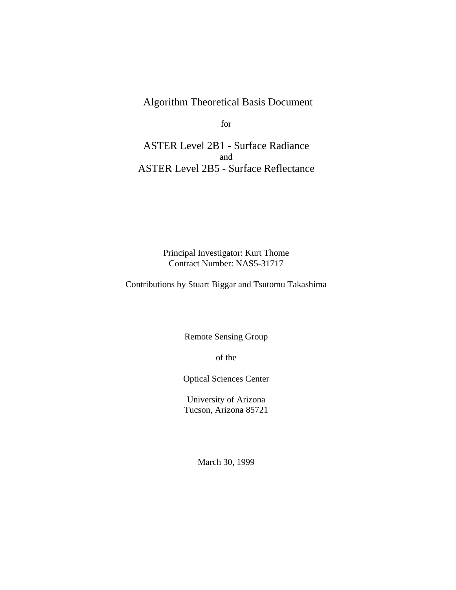Algorithm Theoretical Basis Document

for

ASTER Level 2B1 - Surface Radiance and ASTER Level 2B5 - Surface Reflectance

> Principal Investigator: Kurt Thome Contract Number: NAS5-31717

Contributions by Stuart Biggar and Tsutomu Takashima

Remote Sensing Group

of the

Optical Sciences Center

University of Arizona Tucson, Arizona 85721

March 30, 1999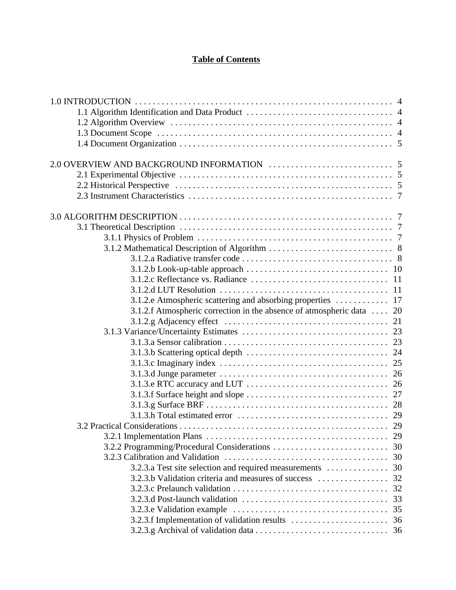# **Table of Contents**

| 3.1.2.f Atmospheric correction in the absence of atmospheric data  20<br><b>3.2 Practical Considerations</b><br>29<br>32 |                                                     |  |
|--------------------------------------------------------------------------------------------------------------------------|-----------------------------------------------------|--|
|                                                                                                                          |                                                     |  |
|                                                                                                                          |                                                     |  |
|                                                                                                                          |                                                     |  |
|                                                                                                                          |                                                     |  |
|                                                                                                                          |                                                     |  |
|                                                                                                                          |                                                     |  |
|                                                                                                                          |                                                     |  |
|                                                                                                                          |                                                     |  |
|                                                                                                                          |                                                     |  |
|                                                                                                                          |                                                     |  |
|                                                                                                                          |                                                     |  |
|                                                                                                                          |                                                     |  |
|                                                                                                                          |                                                     |  |
|                                                                                                                          |                                                     |  |
|                                                                                                                          |                                                     |  |
|                                                                                                                          |                                                     |  |
|                                                                                                                          |                                                     |  |
|                                                                                                                          |                                                     |  |
|                                                                                                                          |                                                     |  |
|                                                                                                                          |                                                     |  |
|                                                                                                                          |                                                     |  |
|                                                                                                                          |                                                     |  |
|                                                                                                                          |                                                     |  |
|                                                                                                                          |                                                     |  |
|                                                                                                                          |                                                     |  |
|                                                                                                                          |                                                     |  |
|                                                                                                                          |                                                     |  |
|                                                                                                                          |                                                     |  |
|                                                                                                                          |                                                     |  |
|                                                                                                                          |                                                     |  |
|                                                                                                                          |                                                     |  |
|                                                                                                                          |                                                     |  |
|                                                                                                                          | 3.2.3.b Validation criteria and measures of success |  |
| 32                                                                                                                       |                                                     |  |
| 33                                                                                                                       |                                                     |  |
|                                                                                                                          |                                                     |  |
|                                                                                                                          |                                                     |  |
|                                                                                                                          |                                                     |  |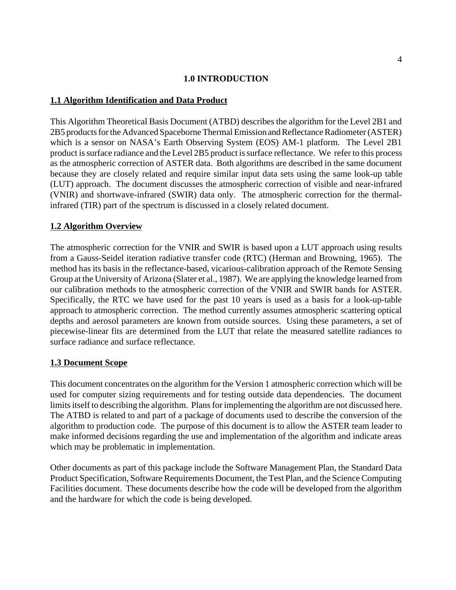### **1.0 INTRODUCTION**

### **1.1 Algorithm Identification and Data Product**

This Algorithm Theoretical Basis Document (ATBD) describes the algorithm for the Level 2B1 and 2B5 products for the Advanced Spaceborne Thermal Emission and Reflectance Radiometer (ASTER) which is a sensor on NASA's Earth Observing System (EOS) AM-1 platform. The Level 2B1 product is surface radiance and the Level 2B5 product is surface reflectance. We refer to this process as the atmospheric correction of ASTER data. Both algorithms are described in the same document because they are closely related and require similar input data sets using the same look-up table (LUT) approach. The document discusses the atmospheric correction of visible and near-infrared (VNIR) and shortwave-infrared (SWIR) data only. The atmospheric correction for the thermalinfrared (TIR) part of the spectrum is discussed in a closely related document.

### **1.2 Algorithm Overview**

The atmospheric correction for the VNIR and SWIR is based upon a LUT approach using results from a Gauss-Seidel iteration radiative transfer code (RTC) (Herman and Browning, 1965). The method has its basis in the reflectance-based, vicarious-calibration approach of the Remote Sensing Group at the University of Arizona (Slater et al., 1987). We are applying the knowledge learned from our calibration methods to the atmospheric correction of the VNIR and SWIR bands for ASTER. Specifically, the RTC we have used for the past 10 years is used as a basis for a look-up-table approach to atmospheric correction. The method currently assumes atmospheric scattering optical depths and aerosol parameters are known from outside sources. Using these parameters, a set of piecewise-linear fits are determined from the LUT that relate the measured satellite radiances to surface radiance and surface reflectance.

#### **1.3 Document Scope**

This document concentrates on the algorithm for the Version 1 atmospheric correction which will be used for computer sizing requirements and for testing outside data dependencies. The document limits itself to describing the algorithm. Plans for implementing the algorithm are not discussed here. The ATBD is related to and part of a package of documents used to describe the conversion of the algorithm to production code. The purpose of this document is to allow the ASTER team leader to make informed decisions regarding the use and implementation of the algorithm and indicate areas which may be problematic in implementation.

Other documents as part of this package include the Software Management Plan, the Standard Data Product Specification, Software Requirements Document, the Test Plan, and the Science Computing Facilities document. These documents describe how the code will be developed from the algorithm and the hardware for which the code is being developed.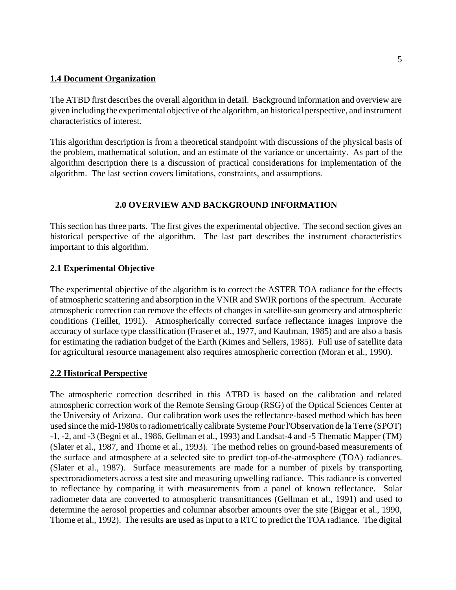### **1.4 Document Organization**

The ATBD first describes the overall algorithm in detail. Background information and overview are given including the experimental objective of the algorithm, an historical perspective, and instrument characteristics of interest.

This algorithm description is from a theoretical standpoint with discussions of the physical basis of the problem, mathematical solution, and an estimate of the variance or uncertainty. As part of the algorithm description there is a discussion of practical considerations for implementation of the algorithm. The last section covers limitations, constraints, and assumptions.

## **2.0 OVERVIEW AND BACKGROUND INFORMATION**

This section has three parts. The first gives the experimental objective. The second section gives an historical perspective of the algorithm. The last part describes the instrument characteristics important to this algorithm.

### **2.1 Experimental Objective**

The experimental objective of the algorithm is to correct the ASTER TOA radiance for the effects of atmospheric scattering and absorption in the VNIR and SWIR portions of the spectrum. Accurate atmospheric correction can remove the effects of changes in satellite-sun geometry and atmospheric conditions (Teillet, 1991). Atmospherically corrected surface reflectance images improve the accuracy of surface type classification (Fraser et al., 1977, and Kaufman, 1985) and are also a basis for estimating the radiation budget of the Earth (Kimes and Sellers, 1985). Full use of satellite data for agricultural resource management also requires atmospheric correction (Moran et al., 1990).

### **2.2 Historical Perspective**

The atmospheric correction described in this ATBD is based on the calibration and related atmospheric correction work of the Remote Sensing Group (RSG) of the Optical Sciences Center at the University of Arizona. Our calibration work uses the reflectance-based method which has been used since the mid-1980s to radiometrically calibrate Systeme Pour l'Observation de la Terre (SPOT) -1, -2, and -3 (Begni et al., 1986, Gellman et al., 1993) and Landsat-4 and -5 Thematic Mapper (TM) (Slater et al., 1987, and Thome et al., 1993). The method relies on ground-based measurements of the surface and atmosphere at a selected site to predict top-of-the-atmosphere (TOA) radiances. (Slater et al., 1987). Surface measurements are made for a number of pixels by transporting spectroradiometers across a test site and measuring upwelling radiance. This radiance is converted to reflectance by comparing it with measurements from a panel of known reflectance. Solar radiometer data are converted to atmospheric transmittances (Gellman et al., 1991) and used to determine the aerosol properties and columnar absorber amounts over the site (Biggar et al., 1990, Thome et al., 1992). The results are used as input to a RTC to predict the TOA radiance. The digital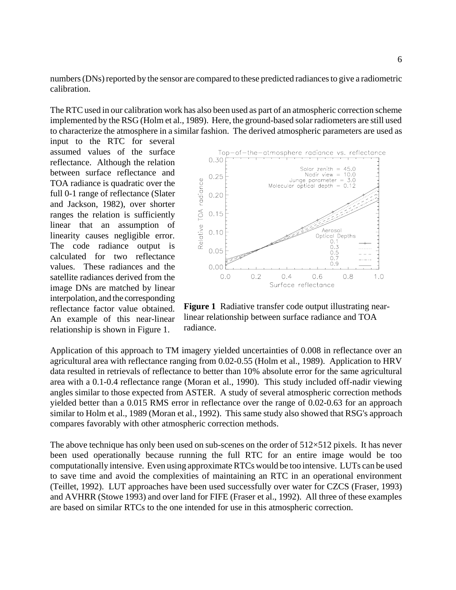numbers (DNs) reported by the sensor are compared to these predicted radiances to give a radiometric calibration.

The RTC used in our calibration work has also been used as part of an atmospheric correction scheme implemented by the RSG (Holm et al., 1989). Here, the ground-based solar radiometers are still used to characterize the atmosphere in a similar fashion. The derived atmospheric parameters are used as

input to the RTC for several assumed values of the surface reflectance. Although the relation between surface reflectance and TOA radiance is quadratic over the full 0-1 range of reflectance (Slater and Jackson, 1982), over shorter ranges the relation is sufficiently linear that an assumption of linearity causes negligible error. The code radiance output is calculated for two reflectance values. These radiances and the satellite radiances derived from the image DNs are matched by linear interpolation, and the corresponding reflectance factor value obtained. An example of this near-linear relationship is shown in Figure 1.



**Figure 1** Radiative transfer code output illustrating nearlinear relationship between surface radiance and TOA radiance.

Application of this approach to TM imagery yielded uncertainties of 0.008 in reflectance over an agricultural area with reflectance ranging from 0.02-0.55 (Holm et al., 1989). Application to HRV data resulted in retrievals of reflectance to better than 10% absolute error for the same agricultural area with a 0.1-0.4 reflectance range (Moran et al., 1990). This study included off-nadir viewing angles similar to those expected from ASTER. A study of several atmospheric correction methods yielded better than a 0.015 RMS error in reflectance over the range of 0.02-0.63 for an approach similar to Holm et al., 1989 (Moran et al., 1992). This same study also showed that RSG's approach compares favorably with other atmospheric correction methods.

The above technique has only been used on sub-scenes on the order of  $512\times512$  pixels. It has never been used operationally because running the full RTC for an entire image would be too computationally intensive. Even using approximate RTCs would be too intensive. LUTs can be used to save time and avoid the complexities of maintaining an RTC in an operational environment (Teillet, 1992). LUT approaches have been used successfully over water for CZCS (Fraser, 1993) and AVHRR (Stowe 1993) and over land for FIFE (Fraser et al., 1992). All three of these examples are based on similar RTCs to the one intended for use in this atmospheric correction.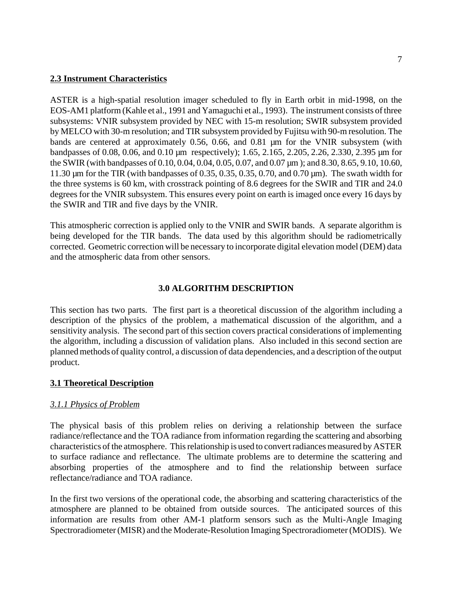### **2.3 Instrument Characteristics**

ASTER is a high-spatial resolution imager scheduled to fly in Earth orbit in mid-1998, on the EOS-AM1 platform (Kahle et al., 1991 and Yamaguchi et al., 1993). The instrument consists of three subsystems: VNIR subsystem provided by NEC with 15-m resolution; SWIR subsystem provided by MELCO with 30-m resolution; and TIR subsystem provided by Fujitsu with 90-m resolution. The bands are centered at approximately 0.56, 0.66, and 0.81 µm for the VNIR subsystem (with bandpasses of 0.08, 0.06, and 0.10 µm respectively); 1.65, 2.165, 2.205, 2.26, 2.330, 2.395 µm for the SWIR (with bandpasses of 0.10, 0.04, 0.04, 0.05, 0.07, and 0.07 µm ); and 8.30, 8.65, 9.10, 10.60, 11.30 µm for the TIR (with bandpasses of 0.35, 0.35, 0.35, 0.70, and 0.70 µm). The swath width for the three systems is 60 km, with crosstrack pointing of 8.6 degrees for the SWIR and TIR and 24.0 degrees for the VNIR subsystem. This ensures every point on earth is imaged once every 16 days by the SWIR and TIR and five days by the VNIR.

This atmospheric correction is applied only to the VNIR and SWIR bands. A separate algorithm is being developed for the TIR bands. The data used by this algorithm should be radiometrically corrected. Geometric correction will be necessary to incorporate digital elevation model (DEM) data and the atmospheric data from other sensors.

### **3.0 ALGORITHM DESCRIPTION**

This section has two parts. The first part is a theoretical discussion of the algorithm including a description of the physics of the problem, a mathematical discussion of the algorithm, and a sensitivity analysis. The second part of this section covers practical considerations of implementing the algorithm, including a discussion of validation plans. Also included in this second section are planned methods of quality control, a discussion of data dependencies, and a description of the output product.

#### **3.1 Theoretical Description**

#### *3.1.1 Physics of Problem*

The physical basis of this problem relies on deriving a relationship between the surface radiance/reflectance and the TOA radiance from information regarding the scattering and absorbing characteristics of the atmosphere. This relationship is used to convert radiances measured by ASTER to surface radiance and reflectance. The ultimate problems are to determine the scattering and absorbing properties of the atmosphere and to find the relationship between surface reflectance/radiance and TOA radiance.

In the first two versions of the operational code, the absorbing and scattering characteristics of the atmosphere are planned to be obtained from outside sources. The anticipated sources of this information are results from other AM-1 platform sensors such as the Multi-Angle Imaging Spectroradiometer (MISR) and the Moderate-Resolution Imaging Spectroradiometer (MODIS). We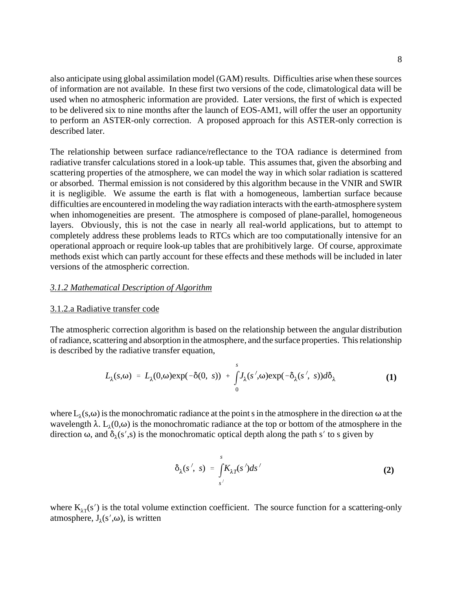also anticipate using global assimilation model (GAM) results. Difficulties arise when these sources of information are not available. In these first two versions of the code, climatological data will be used when no atmospheric information are provided. Later versions, the first of which is expected to be delivered six to nine months after the launch of EOS-AM1, will offer the user an opportunity to perform an ASTER-only correction. A proposed approach for this ASTER-only correction is described later.

The relationship between surface radiance/reflectance to the TOA radiance is determined from radiative transfer calculations stored in a look-up table. This assumes that, given the absorbing and scattering properties of the atmosphere, we can model the way in which solar radiation is scattered or absorbed. Thermal emission is not considered by this algorithm because in the VNIR and SWIR it is negligible. We assume the earth is flat with a homogeneous, lambertian surface because difficulties are encountered in modeling the way radiation interacts with the earth-atmosphere system when inhomogeneities are present. The atmosphere is composed of plane-parallel, homogeneous layers. Obviously, this is not the case in nearly all real-world applications, but to attempt to completely address these problems leads to RTCs which are too computationally intensive for an operational approach or require look-up tables that are prohibitively large. Of course, approximate methods exist which can partly account for these effects and these methods will be included in later versions of the atmospheric correction.

#### *3.1.2 Mathematical Description of Algorithm*

#### 3.1.2.a Radiative transfer code

The atmospheric correction algorithm is based on the relationship between the angular distribution of radiance, scattering and absorption in the atmosphere, and the surface properties. This relationship is described by the radiative transfer equation,

$$
L_{\lambda}(s,\omega) = L_{\lambda}(0,\omega) \exp(-\delta(0, s)) + \int_{0}^{s} J_{\lambda}(s',\omega) \exp(-\delta_{\lambda}(s', s)) d\delta_{\lambda}
$$
 (1)

where  $L_1(s,\omega)$  is the monochromatic radiance at the point s in the atmosphere in the direction  $\omega$  at the wavelength  $\lambda$ . L<sub> $\lambda$ </sub>(0, $\omega$ ) is the monochromatic radiance at the top or bottom of the atmosphere in the direction  $\omega$ , and  $\delta_1(s',s)$  is the monochromatic optical depth along the path s' to s given by

$$
\delta_{\lambda}(s', s) = \int_{s'}^{s} K_{\lambda T}(s')ds'
$$
 (2)

where  $K_{\lambda T}(s')$  is the total volume extinction coefficient. The source function for a scattering-only atmosphere,  $J_1(s',\omega)$ , is written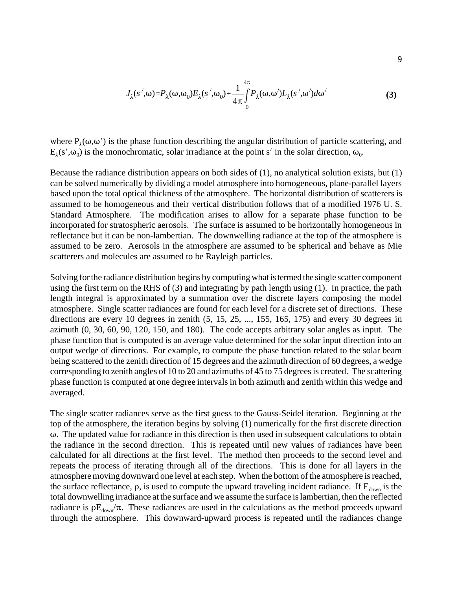$$
J_{\lambda}(s',\omega) = P_{\lambda}(\omega,\omega_0) E_{\lambda}(s',\omega_0) + \frac{1}{4\pi} \int_{0}^{4\pi} P_{\lambda}(\omega,\omega') L_{\lambda}(s',\omega') d\omega'
$$
 (3)

where  $P_1(\omega,\omega')$  is the phase function describing the angular distribution of particle scattering, and  $E_1(s',\omega_0)$  is the monochromatic, solar irradiance at the point s' in the solar direction,  $\omega_0$ .

Because the radiance distribution appears on both sides of (1), no analytical solution exists, but (1) can be solved numerically by dividing a model atmosphere into homogeneous, plane-parallel layers based upon the total optical thickness of the atmosphere. The horizontal distribution of scatterers is assumed to be homogeneous and their vertical distribution follows that of a modified 1976 U. S. Standard Atmosphere. The modification arises to allow for a separate phase function to be incorporated for stratospheric aerosols. The surface is assumed to be horizontally homogeneous in reflectance but it can be non-lambertian. The downwelling radiance at the top of the atmosphere is assumed to be zero. Aerosols in the atmosphere are assumed to be spherical and behave as Mie scatterers and molecules are assumed to be Rayleigh particles.

Solving for the radiance distribution begins by computing what is termed the single scatter component using the first term on the RHS of (3) and integrating by path length using (1). In practice, the path length integral is approximated by a summation over the discrete layers composing the model atmosphere. Single scatter radiances are found for each level for a discrete set of directions. These directions are every 10 degrees in zenith (5, 15, 25, ..., 155, 165, 175) and every 30 degrees in azimuth (0, 30, 60, 90, 120, 150, and 180). The code accepts arbitrary solar angles as input. The phase function that is computed is an average value determined for the solar input direction into an output wedge of directions. For example, to compute the phase function related to the solar beam being scattered to the zenith direction of 15 degrees and the azimuth direction of 60 degrees, a wedge corresponding to zenith angles of 10 to 20 and azimuths of 45 to 75 degrees is created. The scattering phase function is computed at one degree intervals in both azimuth and zenith within this wedge and averaged.

The single scatter radiances serve as the first guess to the Gauss-Seidel iteration. Beginning at the top of the atmosphere, the iteration begins by solving (1) numerically for the first discrete direction  $\omega$ . The updated value for radiance in this direction is then used in subsequent calculations to obtain the radiance in the second direction. This is repeated until new values of radiances have been calculated for all directions at the first level. The method then proceeds to the second level and repeats the process of iterating through all of the directions. This is done for all layers in the atmosphere moving downward one level at each step. When the bottom of the atmosphere is reached, the surface reflectance,  $\rho$ , is used to compute the upward traveling incident radiance. If  $E_{down}$  is the total downwelling irradiance at the surface and we assume the surface is lambertian, then the reflected radiance is  $\rho E_{down}/\pi$ . These radiances are used in the calculations as the method proceeds upward through the atmosphere. This downward-upward process is repeated until the radiances change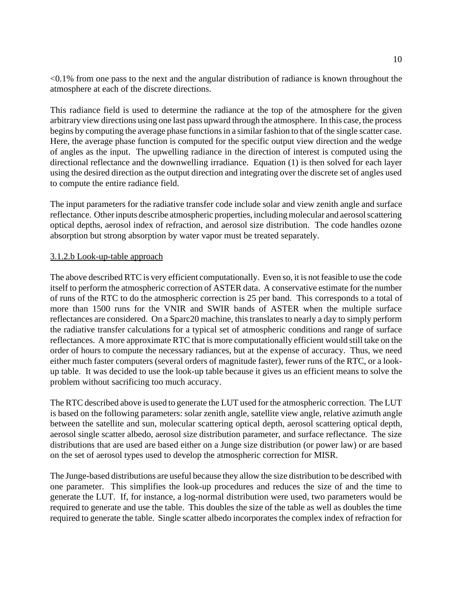<0.1% from one pass to the next and the angular distribution of radiance is known throughout the atmosphere at each of the discrete directions.

This radiance field is used to determine the radiance at the top of the atmosphere for the given arbitrary view directions using one last pass upward through the atmosphere. In this case, the process begins by computing the average phase functions in a similar fashion to that of the single scatter case. Here, the average phase function is computed for the specific output view direction and the wedge of angles as the input. The upwelling radiance in the direction of interest is computed using the directional reflectance and the downwelling irradiance. Equation (1) is then solved for each layer using the desired direction as the output direction and integrating over the discrete set of angles used to compute the entire radiance field.

The input parameters for the radiative transfer code include solar and view zenith angle and surface reflectance. Other inputs describe atmospheric properties, including molecular and aerosol scattering optical depths, aerosol index of refraction, and aerosol size distribution. The code handles ozone absorption but strong absorption by water vapor must be treated separately.

### 3.1.2.b Look-up-table approach

The above described RTC is very efficient computationally. Even so, it is not feasible to use the code itself to perform the atmospheric correction of ASTER data. A conservative estimate for the number of runs of the RTC to do the atmospheric correction is 25 per band. This corresponds to a total of more than 1500 runs for the VNIR and SWIR bands of ASTER when the multiple surface reflectances are considered. On a Sparc20 machine, this translates to nearly a day to simply perform the radiative transfer calculations for a typical set of atmospheric conditions and range of surface reflectances. A more approximate RTC that is more computationally efficient would still take on the order of hours to compute the necessary radiances, but at the expense of accuracy. Thus, we need either much faster computers (several orders of magnitude faster), fewer runs of the RTC, or a lookup table. It was decided to use the look-up table because it gives us an efficient means to solve the problem without sacrificing too much accuracy.

The RTC described above is used to generate the LUT used for the atmospheric correction. The LUT is based on the following parameters: solar zenith angle, satellite view angle, relative azimuth angle between the satellite and sun, molecular scattering optical depth, aerosol scattering optical depth, aerosol single scatter albedo, aerosol size distribution parameter, and surface reflectance. The size distributions that are used are based either on a Junge size distribution (or power law) or are based on the set of aerosol types used to develop the atmospheric correction for MISR.

The Junge-based distributions are useful because they allow the size distribution to be described with one parameter. This simplifies the look-up procedures and reduces the size of and the time to generate the LUT. If, for instance, a log-normal distribution were used, two parameters would be required to generate and use the table. This doubles the size of the table as well as doubles the time required to generate the table. Single scatter albedo incorporates the complex index of refraction for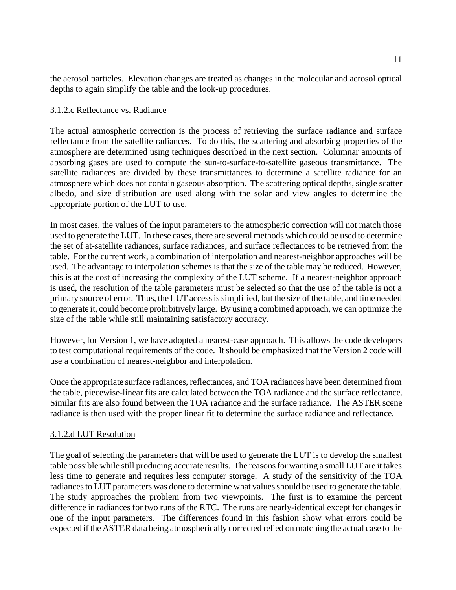the aerosol particles. Elevation changes are treated as changes in the molecular and aerosol optical depths to again simplify the table and the look-up procedures.

## 3.1.2.c Reflectance vs. Radiance

The actual atmospheric correction is the process of retrieving the surface radiance and surface reflectance from the satellite radiances. To do this, the scattering and absorbing properties of the atmosphere are determined using techniques described in the next section. Columnar amounts of absorbing gases are used to compute the sun-to-surface-to-satellite gaseous transmittance. The satellite radiances are divided by these transmittances to determine a satellite radiance for an atmosphere which does not contain gaseous absorption. The scattering optical depths, single scatter albedo, and size distribution are used along with the solar and view angles to determine the appropriate portion of the LUT to use.

In most cases, the values of the input parameters to the atmospheric correction will not match those used to generate the LUT. In these cases, there are several methods which could be used to determine the set of at-satellite radiances, surface radiances, and surface reflectances to be retrieved from the table. For the current work, a combination of interpolation and nearest-neighbor approaches will be used. The advantage to interpolation schemes is that the size of the table may be reduced. However, this is at the cost of increasing the complexity of the LUT scheme. If a nearest-neighbor approach is used, the resolution of the table parameters must be selected so that the use of the table is not a primary source of error. Thus, the LUT access is simplified, but the size of the table, and time needed to generate it, could become prohibitively large. By using a combined approach, we can optimize the size of the table while still maintaining satisfactory accuracy.

However, for Version 1, we have adopted a nearest-case approach. This allows the code developers to test computational requirements of the code. It should be emphasized that the Version 2 code will use a combination of nearest-neighbor and interpolation.

Once the appropriate surface radiances, reflectances, and TOA radiances have been determined from the table, piecewise-linear fits are calculated between the TOA radiance and the surface reflectance. Similar fits are also found between the TOA radiance and the surface radiance. The ASTER scene radiance is then used with the proper linear fit to determine the surface radiance and reflectance.

## 3.1.2.d LUT Resolution

The goal of selecting the parameters that will be used to generate the LUT is to develop the smallest table possible while still producing accurate results. The reasons for wanting a small LUT are it takes less time to generate and requires less computer storage. A study of the sensitivity of the TOA radiances to LUT parameters was done to determine what values should be used to generate the table. The study approaches the problem from two viewpoints. The first is to examine the percent difference in radiances for two runs of the RTC. The runs are nearly-identical except for changes in one of the input parameters. The differences found in this fashion show what errors could be expected if the ASTER data being atmospherically corrected relied on matching the actual case to the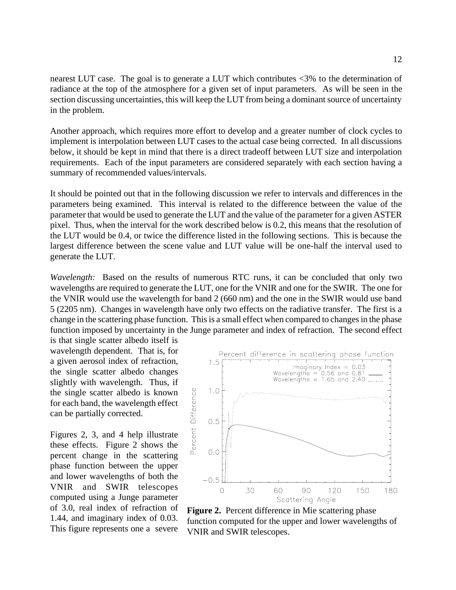nearest LUT case. The goal is to generate a LUT which contributes <3% to the determination of radiance at the top of the atmosphere for a given set of input parameters. As will be seen in the section discussing uncertainties, this will keep the LUT from being a dominant source of uncertainty in the problem.

Another approach, which requires more effort to develop and a greater number of clock cycles to implement is interpolation between LUT cases to the actual case being corrected. In all discussions below, it should be kept in mind that there is a direct tradeoff between LUT size and interpolation requirements. Each of the input parameters are considered separately with each section having a summary of recommended values/intervals.

It should be pointed out that in the following discussion we refer to intervals and differences in the parameters being examined. This interval is related to the difference between the value of the parameter that would be used to generate the LUT and the value of the parameter for a given ASTER pixel. Thus, when the interval for the work described below is 0.2, this means that the resolution of the LUT would be 0.4, or twice the difference listed in the following sections. This is because the largest difference between the scene value and LUT value will be one-half the interval used to generate the LUT.

*Wavelength:* Based on the results of numerous RTC runs, it can be concluded that only two wavelengths are required to generate the LUT, one for the VNIR and one for the SWIR. The one for the VNIR would use the wavelength for band 2 (660 nm) and the one in the SWIR would use band 5 (2205 nm). Changes in wavelength have only two effects on the radiative transfer. The first is a change in the scattering phase function. This is a small effect when compared to changes in the phase function imposed by uncertainty in the Junge parameter and index of refraction. The second effect is that single scatter albedo itself is

wavelength dependent. That is, for a given aerosol index of refraction, the single scatter albedo changes slightly with wavelength. Thus, if the single scatter albedo is known for each band, the wavelength effect can be partially corrected.

Figures 2, 3, and 4 help illustrate these effects. Figure 2 shows the percent change in the scattering phase function between the upper and lower wavelengths of both the VNIR and SWIR telescopes computed using a Junge parameter of 3.0, real index of refraction of 1.44, and imaginary index of 0.03. This figure represents one a severe



**Figure 2.** Percent difference in Mie scattering phase function computed for the upper and lower wavelengths of VNIR and SWIR telescopes.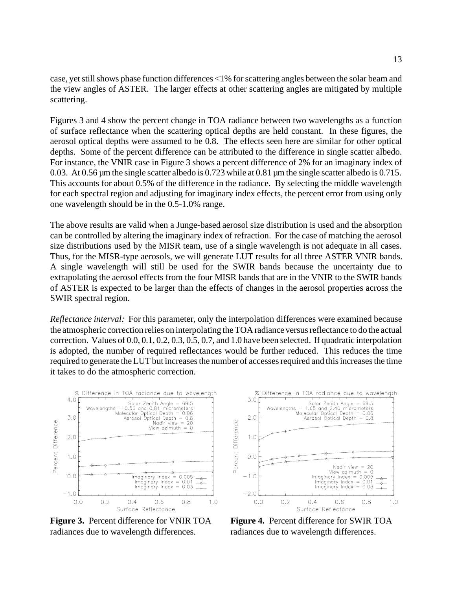case, yet still shows phase function differences <1% for scattering angles between the solar beam and the view angles of ASTER. The larger effects at other scattering angles are mitigated by multiple scattering.

Figures 3 and 4 show the percent change in TOA radiance between two wavelengths as a function of surface reflectance when the scattering optical depths are held constant. In these figures, the aerosol optical depths were assumed to be 0.8. The effects seen here are similar for other optical depths. Some of the percent difference can be attributed to the difference in single scatter albedo. For instance, the VNIR case in Figure 3 shows a percent difference of 2% for an imaginary index of 0.03. At 0.56 µm the single scatter albedo is 0.723 while at 0.81 µm the single scatter albedo is 0.715. This accounts for about 0.5% of the difference in the radiance. By selecting the middle wavelength for each spectral region and adjusting for imaginary index effects, the percent error from using only one wavelength should be in the 0.5-1.0% range.

The above results are valid when a Junge-based aerosol size distribution is used and the absorption can be controlled by altering the imaginary index of refraction. For the case of matching the aerosol size distributions used by the MISR team, use of a single wavelength is not adequate in all cases. Thus, for the MISR-type aerosols, we will generate LUT results for all three ASTER VNIR bands. A single wavelength will still be used for the SWIR bands because the uncertainty due to extrapolating the aerosol effects from the four MISR bands that are in the VNIR to the SWIR bands of ASTER is expected to be larger than the effects of changes in the aerosol properties across the SWIR spectral region.

*Reflectance interval:* For this parameter, only the interpolation differences were examined because the atmospheric correction relies on interpolating the TOA radiance versus reflectance to do the actual correction. Values of 0.0, 0.1, 0.2, 0.3, 0.5, 0.7, and 1.0 have been selected. If quadratic interpolation is adopted, the number of required reflectances would be further reduced. This reduces the time required to generate the LUT but increases the number of accesses required and this increases the time it takes to do the atmospheric correction.



**Figure 3.** Percent difference for VNIR TOA radiances due to wavelength differences.



**Figure 4.** Percent difference for SWIR TOA radiances due to wavelength differences.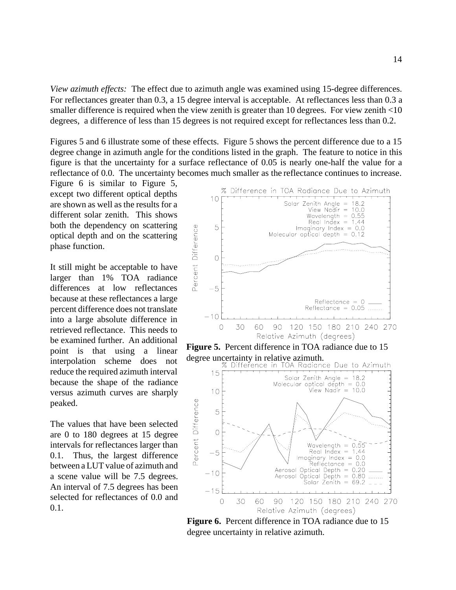*View azimuth effects:* The effect due to azimuth angle was examined using 15-degree differences. For reflectances greater than 0.3, a 15 degree interval is acceptable. At reflectances less than 0.3 a smaller difference is required when the view zenith is greater than 10 degrees. For view zenith <10 degrees, a difference of less than 15 degrees is not required except for reflectances less than 0.2.

Figures 5 and 6 illustrate some of these effects. Figure 5 shows the percent difference due to a 15 degree change in azimuth angle for the conditions listed in the graph. The feature to notice in this figure is that the uncertainty for a surface reflectance of 0.05 is nearly one-half the value for a reflectance of 0.0. The uncertainty becomes much smaller as the reflectance continues to increase.

Figure 6 is similar to Figure 5, except two different optical depths are shown as well as the results for a different solar zenith. This shows both the dependency on scattering optical depth and on the scattering phase function.

It still might be acceptable to have larger than 1% TOA radiance differences at low reflectances because at these reflectances a large percent difference does not translate into a large absolute difference in retrieved reflectance. This needs to be examined further. An additional point is that using a linear interpolation scheme does not reduce the required azimuth interval because the shape of the radiance versus azimuth curves are sharply peaked.

The values that have been selected are 0 to 180 degrees at 15 degree intervals for reflectances larger than 0.1. Thus, the largest difference between a LUT value of azimuth and a scene value will be 7.5 degrees. An interval of 7.5 degrees has been selected for reflectances of 0.0 and  $0.1.$ 



Figure 6. Percent difference in TOA radiance due to 15 degree uncertainty in relative azimuth.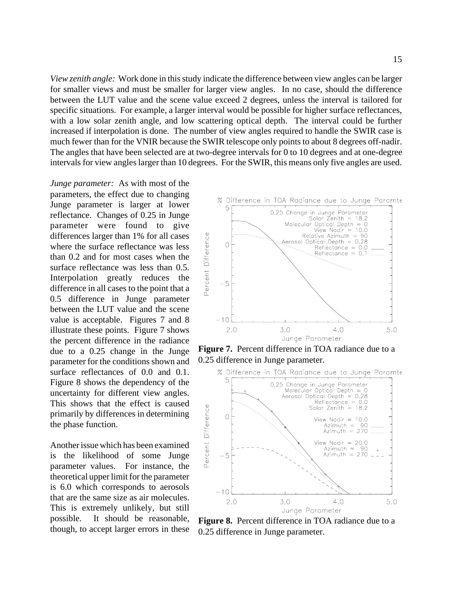*View zenith angle:* Work done in this study indicate the difference between view angles can be larger for smaller views and must be smaller for larger view angles. In no case, should the difference between the LUT value and the scene value exceed 2 degrees, unless the interval is tailored for specific situations. For example, a larger interval would be possible for higher surface reflectances, with a low solar zenith angle, and low scattering optical depth. The interval could be further increased if interpolation is done. The number of view angles required to handle the SWIR case is much fewer than for the VNIR because the SWIR telescope only points to about 8 degrees off-nadir. The angles that have been selected are at two-degree intervals for 0 to 10 degrees and at one-degree intervals for view angles larger than 10 degrees. For the SWIR, this means only five angles are used.

*Junge parameter:* As with most of the parameters, the effect due to changing Junge parameter is larger at lower reflectance. Changes of 0.25 in Junge parameter were found to give differences larger than 1% for all cases where the surface reflectance was less than 0.2 and for most cases when the surface reflectance was less than 0.5. Interpolation greatly reduces the difference in all cases to the point that a 0.5 difference in Junge parameter between the LUT value and the scene value is acceptable. Figures 7 and 8 illustrate these points. Figure 7 shows the percent difference in the radiance due to a 0.25 change in the Junge parameter for the conditions shown and surface reflectances of 0.0 and 0.1. Figure 8 shows the dependency of the uncertainty for different view angles. This shows that the effect is caused primarily by differences in determining the phase function.

Another issue which has been examined is the likelihood of some Junge parameter values. For instance, the theoretical upper limit for the parameter is 6.0 which corresponds to aerosols that are the same size as air molecules. This is extremely unlikely, but still possible. It should be reasonable, though, to accept larger errors in these



**Figure 7.** Percent difference in TOA radiance due to a 0.25 difference in Junge parameter.



**Figure 8.** Percent difference in TOA radiance due to a 0.25 difference in Junge parameter.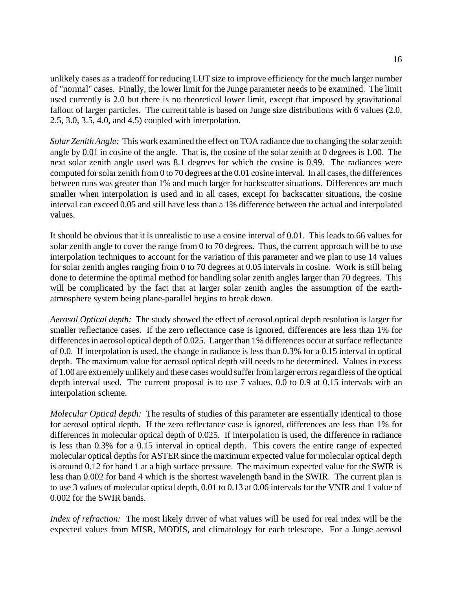unlikely cases as a tradeoff for reducing LUT size to improve efficiency for the much larger number of "normal" cases. Finally, the lower limit for the Junge parameter needs to be examined. The limit used currently is 2.0 but there is no theoretical lower limit, except that imposed by gravitational fallout of larger particles. The current table is based on Junge size distributions with 6 values (2.0, 2.5, 3.0, 3.5, 4.0, and 4.5) coupled with interpolation.

*Solar Zenith Angle:* This work examined the effect on TOA radiance due to changing the solar zenith angle by 0.01 in cosine of the angle. That is, the cosine of the solar zenith at 0 degrees is 1.00. The next solar zenith angle used was 8.1 degrees for which the cosine is 0.99. The radiances were computed for solar zenith from 0 to 70 degrees at the 0.01 cosine interval. In all cases, the differences between runs was greater than 1% and much larger for backscatter situations. Differences are much smaller when interpolation is used and in all cases, except for backscatter situations, the cosine interval can exceed 0.05 and still have less than a 1% difference between the actual and interpolated values.

It should be obvious that it is unrealistic to use a cosine interval of 0.01. This leads to 66 values for solar zenith angle to cover the range from 0 to 70 degrees. Thus, the current approach will be to use interpolation techniques to account for the variation of this parameter and we plan to use 14 values for solar zenith angles ranging from 0 to 70 degrees at 0.05 intervals in cosine. Work is still being done to determine the optimal method for handling solar zenith angles larger than 70 degrees. This will be complicated by the fact that at larger solar zenith angles the assumption of the earthatmosphere system being plane-parallel begins to break down.

*Aerosol Optical depth:* The study showed the effect of aerosol optical depth resolution is larger for smaller reflectance cases. If the zero reflectance case is ignored, differences are less than 1% for differences in aerosol optical depth of 0.025. Larger than 1% differences occur at surface reflectance of 0.0. If interpolation is used, the change in radiance is less than 0.3% for a 0.15 interval in optical depth. The maximum value for aerosol optical depth still needs to be determined. Values in excess of 1.00 are extremely unlikely and these cases would suffer from larger errors regardless of the optical depth interval used. The current proposal is to use 7 values, 0.0 to 0.9 at 0.15 intervals with an interpolation scheme.

*Molecular Optical depth:* The results of studies of this parameter are essentially identical to those for aerosol optical depth. If the zero reflectance case is ignored, differences are less than 1% for differences in molecular optical depth of 0.025. If interpolation is used, the difference in radiance is less than 0.3% for a 0.15 interval in optical depth. This covers the entire range of expected molecular optical depths for ASTER since the maximum expected value for molecular optical depth is around 0.12 for band 1 at a high surface pressure. The maximum expected value for the SWIR is less than 0.002 for band 4 which is the shortest wavelength band in the SWIR. The current plan is to use 3 values of molecular optical depth, 0.01 to 0.13 at 0.06 intervals for the VNIR and 1 value of 0.002 for the SWIR bands.

*Index of refraction:* The most likely driver of what values will be used for real index will be the expected values from MISR, MODIS, and climatology for each telescope. For a Junge aerosol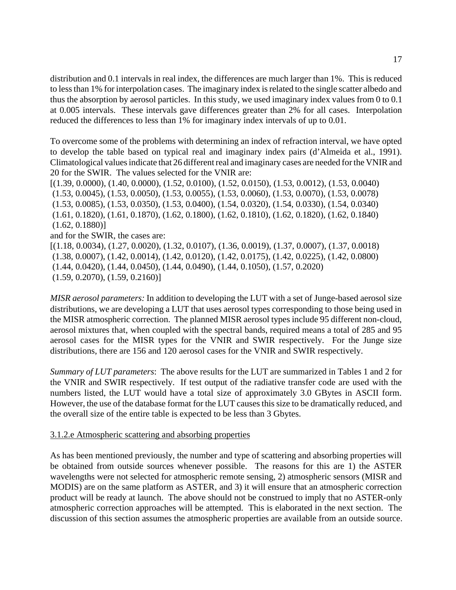distribution and 0.1 intervals in real index, the differences are much larger than 1%. This is reduced to less than 1% for interpolation cases. The imaginary index is related to the single scatter albedo and thus the absorption by aerosol particles. In this study, we used imaginary index values from 0 to 0.1 at 0.005 intervals. These intervals gave differences greater than 2% for all cases. Interpolation reduced the differences to less than 1% for imaginary index intervals of up to 0.01.

To overcome some of the problems with determining an index of refraction interval, we have opted to develop the table based on typical real and imaginary index pairs (d'Almeida et al., 1991). Climatological values indicate that 26 different real and imaginary cases are needed for the VNIR and 20 for the SWIR. The values selected for the VNIR are:

[(1.39, 0.0000), (1.40, 0.0000), (1.52, 0.0100), (1.52, 0.0150), (1.53, 0.0012), (1.53, 0.0040) (1.53, 0.0045), (1.53, 0.0050), (1.53, 0.0055), (1.53, 0.0060), (1.53, 0.0070), (1.53, 0.0078) (1.53, 0.0085), (1.53, 0.0350), (1.53, 0.0400), (1.54, 0.0320), (1.54, 0.0330), (1.54, 0.0340) (1.61, 0.1820), (1.61, 0.1870), (1.62, 0.1800), (1.62, 0.1810), (1.62, 0.1820), (1.62, 0.1840)  $(1.62, 0.1880)]$ and for the SWIR, the cases are: [(1.18, 0.0034), (1.27, 0.0020), (1.32, 0.0107), (1.36, 0.0019), (1.37, 0.0007), (1.37, 0.0018) (1.38, 0.0007), (1.42, 0.0014), (1.42, 0.0120), (1.42, 0.0175), (1.42, 0.0225), (1.42, 0.0800) (1.44, 0.0420), (1.44, 0.0450), (1.44, 0.0490), (1.44, 0.1050), (1.57, 0.2020) (1.59, 0.2070), (1.59, 0.2160)]

*MISR aerosol parameters:* In addition to developing the LUT with a set of Junge-based aerosol size distributions, we are developing a LUT that uses aerosol types corresponding to those being used in the MISR atmospheric correction. The planned MISR aerosol types include 95 different non-cloud, aerosol mixtures that, when coupled with the spectral bands, required means a total of 285 and 95 aerosol cases for the MISR types for the VNIR and SWIR respectively. For the Junge size distributions, there are 156 and 120 aerosol cases for the VNIR and SWIR respectively.

*Summary of LUT parameters*: The above results for the LUT are summarized in Tables 1 and 2 for the VNIR and SWIR respectively. If test output of the radiative transfer code are used with the numbers listed, the LUT would have a total size of approximately 3.0 GBytes in ASCII form. However, the use of the database format for the LUT causes this size to be dramatically reduced, and the overall size of the entire table is expected to be less than 3 Gbytes.

#### 3.1.2.e Atmospheric scattering and absorbing properties

As has been mentioned previously, the number and type of scattering and absorbing properties will be obtained from outside sources whenever possible. The reasons for this are 1) the ASTER wavelengths were not selected for atmospheric remote sensing, 2) atmospheric sensors (MISR and MODIS) are on the same platform as ASTER, and 3) it will ensure that an atmospheric correction product will be ready at launch. The above should not be construed to imply that no ASTER-only atmospheric correction approaches will be attempted. This is elaborated in the next section. The discussion of this section assumes the atmospheric properties are available from an outside source.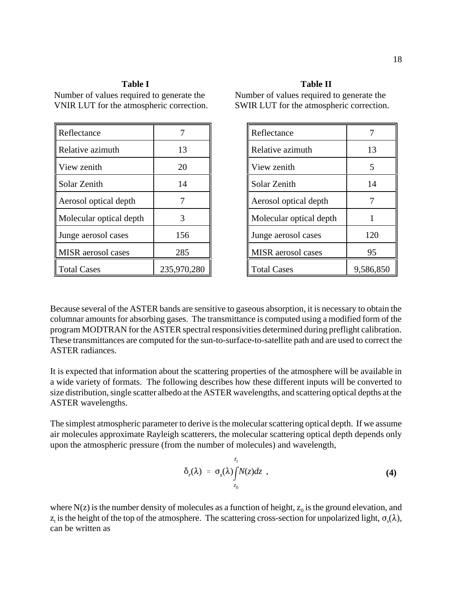#### **Table I**

Number of values required to generate the VNIR LUT for the atmospheric correction.

| Reflectance               |             |
|---------------------------|-------------|
| Relative azimuth          | 13          |
| View zenith               | 20          |
| Solar Zenith              | 14          |
| Aerosol optical depth     |             |
| Molecular optical depth   | 3           |
| Junge aerosol cases       | 156         |
| <b>MISR</b> aerosol cases | 285         |
| <b>Total Cases</b>        | 235,970,280 |

#### **Table II**

Number of values required to generate the SWIR LUT for the atmospheric correction.

| Reflectance             |           |
|-------------------------|-----------|
| Relative azimuth        | 13        |
| View zenith             | 5         |
| Solar Zenith            | 14        |
| Aerosol optical depth   | 7         |
| Molecular optical depth | 1         |
| Junge aerosol cases     | 120       |
| MISR aerosol cases      | 95        |
| <b>Total Cases</b>      | 9,586,850 |

Because several of the ASTER bands are sensitive to gaseous absorption, it is necessary to obtain the columnar amounts for absorbing gases. The transmittance is computed using a modified form of the program MODTRAN for the ASTER spectral responsivities determined during preflight calibration. These transmittances are computed for the sun-to-surface-to-satellite path and are used to correct the ASTER radiances.

It is expected that information about the scattering properties of the atmosphere will be available in a wide variety of formats. The following describes how these different inputs will be converted to size distribution, single scatter albedo at the ASTER wavelengths, and scattering optical depths at the ASTER wavelengths.

The simplest atmospheric parameter to derive is the molecular scattering optical depth. If we assume air molecules approximate Rayleigh scatterers, the molecular scattering optical depth depends only upon the atmospheric pressure (from the number of molecules) and wavelength,

$$
\delta_r(\lambda) = \sigma_s(\lambda) \int_{z_0}^{z_t} N(z) dz , \qquad (4)
$$

where N(z) is the number density of molecules as a function of height,  $z_0$  is the ground elevation, and  $z_t$  is the height of the top of the atmosphere. The scattering cross-section for unpolarized light,  $\sigma_s(\lambda)$ , can be written as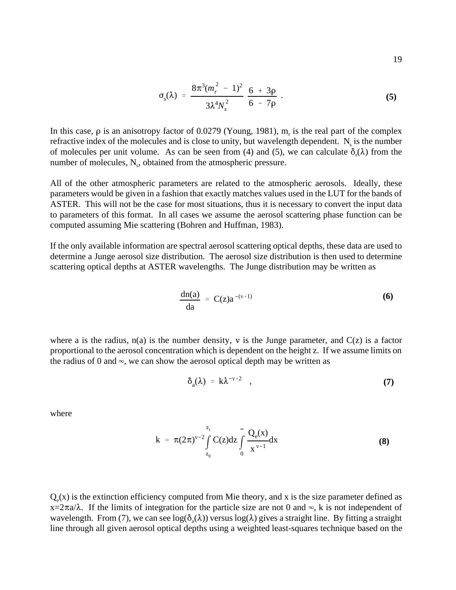$$
\sigma_s(\lambda) = \frac{8\pi^3(m_r^2 - 1)^2}{3\lambda^4 N_s^2} \frac{6 + 3\rho}{6 - 7\rho} \ . \tag{5}
$$

In this case,  $\rho$  is an anisotropy factor of 0.0279 (Young, 1981),  $m_r$  is the real part of the complex refractive index of the molecules and is close to unity, but wavelength dependent.  $N_s$  is the number of molecules per unit volume. As can be seen from (4) and (5), we can calculate  $\delta_r(\lambda)$  from the number of molecules,  $N_s$ , obtained from the atmospheric pressure.

All of the other atmospheric parameters are related to the atmospheric aerosols. Ideally, these parameters would be given in a fashion that exactly matches values used in the LUT for the bands of ASTER. This will not be the case for most situations, thus it is necessary to convert the input data to parameters of this format. In all cases we assume the aerosol scattering phase function can be computed assuming Mie scattering (Bohren and Huffman, 1983).

If the only available information are spectral aerosol scattering optical depths, these data are used to determine a Junge aerosol size distribution. The aerosol size distribution is then used to determine scattering optical depths at ASTER wavelengths. The Junge distribution may be written as

$$
\frac{\mathrm{dn}(a)}{\mathrm{da}} = C(z)a^{-(v+1)} \tag{6}
$$

where a is the radius,  $n(a)$  is the number density, v is the Junge parameter, and  $C(z)$  is a factor proportional to the aerosol concentration which is dependent on the height z. If we assume limits on the radius of 0 and  $\infty$ , we can show the aerosol optical depth may be written as

$$
\delta_a(\lambda) = k\lambda^{-\nu+2} \quad , \tag{7}
$$

where

$$
k = \pi (2\pi)^{v-2} \int_{z_0}^{z_t} C(z) dz \int_{0}^{\infty} \frac{Q_e(x)}{x^{v-1}} dx
$$
 (8)

 $Q_a(x)$  is the extinction efficiency computed from Mie theory, and x is the size parameter defined as  $x=2\pi a/\lambda$ . If the limits of integration for the particle size are not 0 and  $\infty$ , k is not independent of wavelength. From (7), we can see  $log(\delta_a(\lambda))$  versus  $log(\lambda)$  gives a straight line. By fitting a straight line through all given aerosol optical depths using a weighted least-squares technique based on the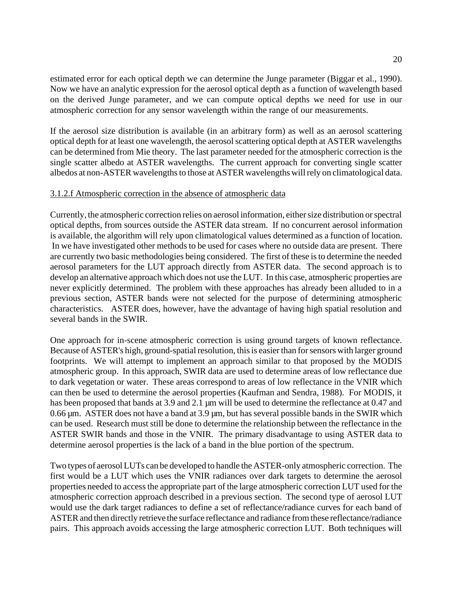estimated error for each optical depth we can determine the Junge parameter (Biggar et al., 1990). Now we have an analytic expression for the aerosol optical depth as a function of wavelength based on the derived Junge parameter, and we can compute optical depths we need for use in our atmospheric correction for any sensor wavelength within the range of our measurements.

If the aerosol size distribution is available (in an arbitrary form) as well as an aerosol scattering optical depth for at least one wavelength, the aerosol scattering optical depth at ASTER wavelengths can be determined from Mie theory. The last parameter needed for the atmospheric correction is the single scatter albedo at ASTER wavelengths. The current approach for converting single scatter albedos at non-ASTER wavelengths to those at ASTER wavelengths will rely on climatological data.

### 3.1.2.f Atmospheric correction in the absence of atmospheric data

Currently, the atmospheric correction relies on aerosol information, either size distribution or spectral optical depths, from sources outside the ASTER data stream. If no concurrent aerosol information is available, the algorithm will rely upon climatological values determined as a function of location. In we have investigated other methods to be used for cases where no outside data are present. There are currently two basic methodologies being considered. The first of these is to determine the needed aerosol parameters for the LUT approach directly from ASTER data. The second approach is to develop an alternative approach which does not use the LUT. In this case, atmospheric properties are never explicitly determined. The problem with these approaches has already been alluded to in a previous section, ASTER bands were not selected for the purpose of determining atmospheric characteristics. ASTER does, however, have the advantage of having high spatial resolution and several bands in the SWIR.

One approach for in-scene atmospheric correction is using ground targets of known reflectance. Because of ASTER's high, ground-spatial resolution, this is easier than for sensors with larger ground footprints. We will attempt to implement an approach similar to that proposed by the MODIS atmospheric group. In this approach, SWIR data are used to determine areas of low reflectance due to dark vegetation or water. These areas correspond to areas of low reflectance in the VNIR which can then be used to determine the aerosol properties (Kaufman and Sendra, 1988). For MODIS, it has been proposed that bands at 3.9 and 2.1 µm will be used to determine the reflectance at 0.47 and 0.66  $\mu$ m. ASTER does not have a band at 3.9  $\mu$ m, but has several possible bands in the SWIR which can be used. Research must still be done to determine the relationship between the reflectance in the ASTER SWIR bands and those in the VNIR. The primary disadvantage to using ASTER data to determine aerosol properties is the lack of a band in the blue portion of the spectrum.

Two types of aerosol LUTs can be developed to handle the ASTER-only atmospheric correction. The first would be a LUT which uses the VNIR radiances over dark targets to determine the aerosol properties needed to access the appropriate part of the large atmospheric correction LUT used for the atmospheric correction approach described in a previous section. The second type of aerosol LUT would use the dark target radiances to define a set of reflectance/radiance curves for each band of ASTER and then directly retrieve the surface reflectance and radiance from these reflectance/radiance pairs. This approach avoids accessing the large atmospheric correction LUT. Both techniques will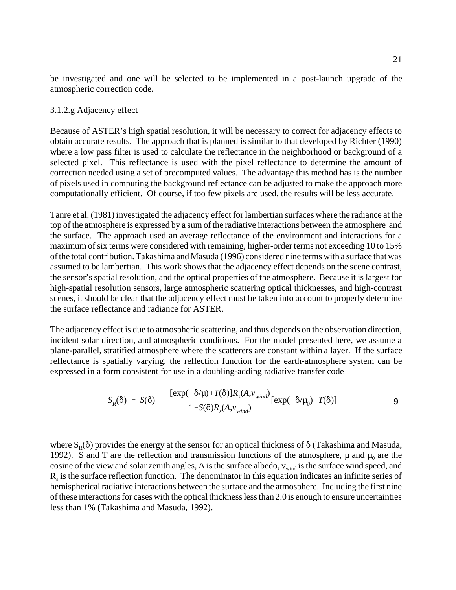be investigated and one will be selected to be implemented in a post-launch upgrade of the atmospheric correction code.

#### 3.1.2.g Adjacency effect

Because of ASTER's high spatial resolution, it will be necessary to correct for adjacency effects to obtain accurate results. The approach that is planned is similar to that developed by Richter (1990) where a low pass filter is used to calculate the reflectance in the neighborhood or background of a selected pixel. This reflectance is used with the pixel reflectance to determine the amount of correction needed using a set of precomputed values. The advantage this method has is the number of pixels used in computing the background reflectance can be adjusted to make the approach more computationally efficient. Of course, if too few pixels are used, the results will be less accurate.

Tanre et al. (1981) investigated the adjacency effect for lambertian surfaces where the radiance at the top of the atmosphere is expressed by a sum of the radiative interactions between the atmosphere and the surface. The approach used an average reflectance of the environment and interactions for a maximum of six terms were considered with remaining, higher-order terms not exceeding 10 to 15% of the total contribution. Takashima and Masuda (1996) considered nine terms with a surface that was assumed to be lambertian. This work shows that the adjacency effect depends on the scene contrast, the sensor's spatial resolution, and the optical properties of the atmosphere. Because it is largest for high-spatial resolution sensors, large atmospheric scattering optical thicknesses, and high-contrast scenes, it should be clear that the adjacency effect must be taken into account to properly determine the surface reflectance and radiance for ASTER.

The adjacency effect is due to atmospheric scattering, and thus depends on the observation direction, incident solar direction, and atmospheric conditions. For the model presented here, we assume a plane-parallel, stratified atmosphere where the scatterers are constant within a layer. If the surface reflectance is spatially varying, the reflection function for the earth-atmosphere system can be expressed in a form consistent for use in a doubling-adding radiative transfer code

$$
S_R(\delta) = S(\delta) + \frac{[\exp(-\delta/\mu) + T(\delta)]R_s(A, v_{wind})}{1 - S(\delta)R_s(A, v_{wind})} [\exp(-\delta/\mu_0) + T(\delta)]
$$
 9

where  $S_R(\delta)$  provides the energy at the sensor for an optical thickness of  $\delta$  (Takashima and Masuda, 1992). S and T are the reflection and transmission functions of the atmosphere,  $\mu$  and  $\mu_0$  are the cosine of the view and solar zenith angles, A is the surface albedo,  $v_{wind}$  is the surface wind speed, and  $R<sub>s</sub>$  is the surface reflection function. The denominator in this equation indicates an infinite series of hemispherical radiative interactions between the surface and the atmosphere. Including the first nine of these interactions for cases with the optical thickness less than 2.0 is enough to ensure uncertainties less than 1% (Takashima and Masuda, 1992).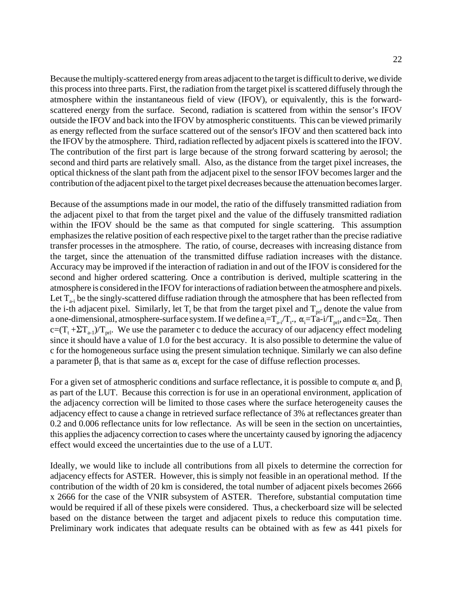Because the multiply-scattered energy from areas adjacent to the target is difficult to derive, we divide this process into three parts. First, the radiation from the target pixel is scattered diffusely through the atmosphere within the instantaneous field of view (IFOV), or equivalently, this is the forwardscattered energy from the surface. Second, radiation is scattered from within the sensor's IFOV outside the IFOV and back into the IFOV by atmospheric constituents. This can be viewed primarily as energy reflected from the surface scattered out of the sensor's IFOV and then scattered back into the IFOV by the atmosphere. Third, radiation reflected by adjacent pixels is scattered into the IFOV. The contribution of the first part is large because of the strong forward scattering by aerosol; the second and third parts are relatively small. Also, as the distance from the target pixel increases, the optical thickness of the slant path from the adjacent pixel to the sensor IFOV becomes larger and the contribution of the adjacent pixel to the target pixel decreases because the attenuation becomes larger.

Because of the assumptions made in our model, the ratio of the diffusely transmitted radiation from the adjacent pixel to that from the target pixel and the value of the diffusely transmitted radiation within the IFOV should be the same as that computed for single scattering. This assumption emphasizes the relative position of each respective pixel to the target rather than the precise radiative transfer processes in the atmosphere. The ratio, of course, decreases with increasing distance from the target, since the attenuation of the transmitted diffuse radiation increases with the distance. Accuracy may be improved if the interaction of radiation in and out of the IFOV is considered for the second and higher ordered scattering. Once a contribution is derived, multiple scattering in the atmosphere is considered in the IFOV for interactions of radiation between the atmosphere and pixels. Let  $T_{a-i}$  be the singly-scattered diffuse radiation through the atmosphere that has been reflected from the i-th adjacent pixel. Similarly, let  $T_t$  be that from the target pixel and  $T_{\text{prl}}$  denote the value from a one-dimensional, atmosphere-surface system. If we define  $a_i=T_{a-i}/T_t$ .,  $\alpha_i=Ta-i/T_{prl}$ , and  $c=\Sigma\alpha_i$ . Then  $c=(T_t + \Sigma T_{a-1})/T_{\text{pri}}$ . We use the parameter c to deduce the accuracy of our adjacency effect modeling since it should have a value of 1.0 for the best accuracy. It is also possible to determine the value of c for the homogeneous surface using the present simulation technique. Similarly we can also define a parameter  $\beta_i$  that is that same as  $\alpha_i$  except for the case of diffuse reflection processes.

For a given set of atmospheric conditions and surface reflectance, it is possible to compute  $\alpha_i$  and  $\beta_i$ as part of the LUT. Because this correction is for use in an operational environment, application of the adjacency correction will be limited to those cases where the surface heterogeneity causes the adjacency effect to cause a change in retrieved surface reflectance of 3% at reflectances greater than 0.2 and 0.006 reflectance units for low reflectance. As will be seen in the section on uncertainties, this applies the adjacency correction to cases where the uncertainty caused by ignoring the adjacency effect would exceed the uncertainties due to the use of a LUT.

Ideally, we would like to include all contributions from all pixels to determine the correction for adjacency effects for ASTER. However, this is simply not feasible in an operational method. If the contribution of the width of 20 km is considered, the total number of adjacent pixels becomes 2666 x 2666 for the case of the VNIR subsystem of ASTER. Therefore, substantial computation time would be required if all of these pixels were considered. Thus, a checkerboard size will be selected based on the distance between the target and adjacent pixels to reduce this computation time. Preliminary work indicates that adequate results can be obtained with as few as 441 pixels for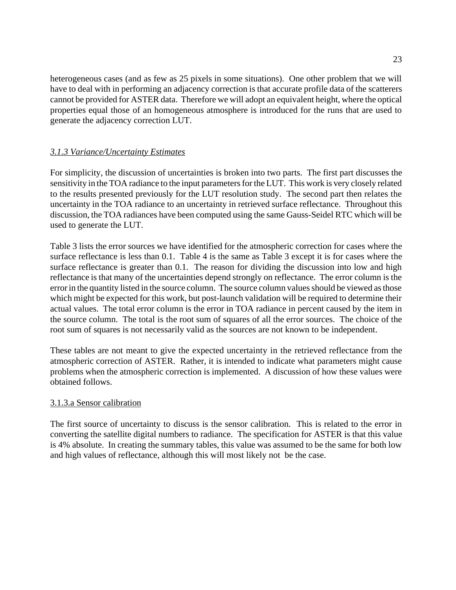heterogeneous cases (and as few as 25 pixels in some situations). One other problem that we will have to deal with in performing an adjacency correction is that accurate profile data of the scatterers cannot be provided for ASTER data. Therefore we will adopt an equivalent height, where the optical properties equal those of an homogeneous atmosphere is introduced for the runs that are used to generate the adjacency correction LUT.

## *3.1.3 Variance/Uncertainty Estimates*

For simplicity, the discussion of uncertainties is broken into two parts. The first part discusses the sensitivity in the TOA radiance to the input parameters for the LUT. This work is very closely related to the results presented previously for the LUT resolution study. The second part then relates the uncertainty in the TOA radiance to an uncertainty in retrieved surface reflectance. Throughout this discussion, the TOA radiances have been computed using the same Gauss-Seidel RTC which will be used to generate the LUT.

Table 3 lists the error sources we have identified for the atmospheric correction for cases where the surface reflectance is less than 0.1. Table 4 is the same as Table 3 except it is for cases where the surface reflectance is greater than 0.1. The reason for dividing the discussion into low and high reflectance is that many of the uncertainties depend strongly on reflectance. The error column is the error in the quantity listed in the source column. The source column values should be viewed as those which might be expected for this work, but post-launch validation will be required to determine their actual values. The total error column is the error in TOA radiance in percent caused by the item in the source column. The total is the root sum of squares of all the error sources. The choice of the root sum of squares is not necessarily valid as the sources are not known to be independent.

These tables are not meant to give the expected uncertainty in the retrieved reflectance from the atmospheric correction of ASTER. Rather, it is intended to indicate what parameters might cause problems when the atmospheric correction is implemented. A discussion of how these values were obtained follows.

## 3.1.3.a Sensor calibration

The first source of uncertainty to discuss is the sensor calibration. This is related to the error in converting the satellite digital numbers to radiance. The specification for ASTER is that this value is 4% absolute. In creating the summary tables, this value was assumed to be the same for both low and high values of reflectance, although this will most likely not be the case.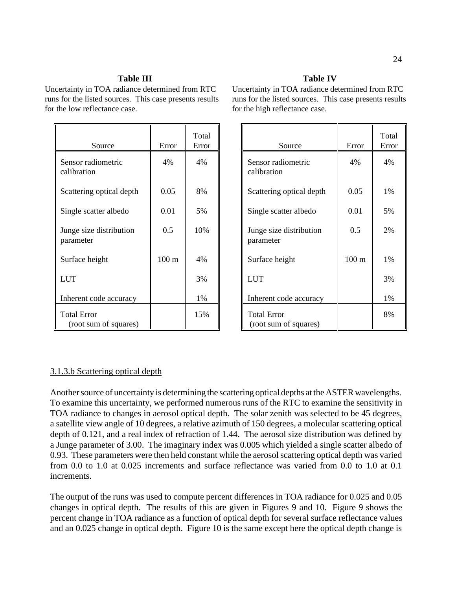### **Table III**

Uncertainty in TOA radiance determined from RTC runs for the listed sources. This case presents results for the low reflectance case.

| Source                                      | Error            | Total<br>Error |
|---------------------------------------------|------------------|----------------|
| Sensor radiometric<br>calibration           | 4%               | 4%             |
| Scattering optical depth                    | 0.05             | 8%             |
| Single scatter albedo                       | 0.01             | 5%             |
| Junge size distribution<br>parameter        | 0.5              | 10%            |
| Surface height                              | 100 <sub>m</sub> | 4%             |
| <b>LUT</b>                                  |                  | 3%             |
| Inherent code accuracy                      |                  | 1%             |
| <b>Total Error</b><br>(root sum of squares) |                  | 15%            |

### **Table IV**

Uncertainty in TOA radiance determined from RTC runs for the listed sources. This case presents results for the high reflectance case.

| Source                                      | Error            | Total<br>Error |
|---------------------------------------------|------------------|----------------|
| Sensor radiometric<br>calibration           | 4%               | 4%             |
| Scattering optical depth                    | 0.05             | $1\%$          |
| Single scatter albedo                       | 0.01             | 5%             |
| Junge size distribution<br>parameter        | 0.5              | 2%             |
| Surface height                              | 100 <sub>m</sub> | 1%             |
| <b>LUT</b>                                  |                  | 3%             |
| Inherent code accuracy                      |                  | 1%             |
| <b>Total Error</b><br>(root sum of squares) |                  | 8%             |

### 3.1.3.b Scattering optical depth

Another source of uncertainty is determining the scattering optical depths at the ASTER wavelengths. To examine this uncertainty, we performed numerous runs of the RTC to examine the sensitivity in TOA radiance to changes in aerosol optical depth. The solar zenith was selected to be 45 degrees, a satellite view angle of 10 degrees, a relative azimuth of 150 degrees, a molecular scattering optical depth of 0.121, and a real index of refraction of 1.44. The aerosol size distribution was defined by a Junge parameter of 3.00. The imaginary index was 0.005 which yielded a single scatter albedo of 0.93. These parameters were then held constant while the aerosol scattering optical depth was varied from 0.0 to 1.0 at 0.025 increments and surface reflectance was varied from 0.0 to 1.0 at 0.1 increments.

The output of the runs was used to compute percent differences in TOA radiance for 0.025 and 0.05 changes in optical depth. The results of this are given in Figures 9 and 10. Figure 9 shows the percent change in TOA radiance as a function of optical depth for several surface reflectance values and an 0.025 change in optical depth. Figure 10 is the same except here the optical depth change is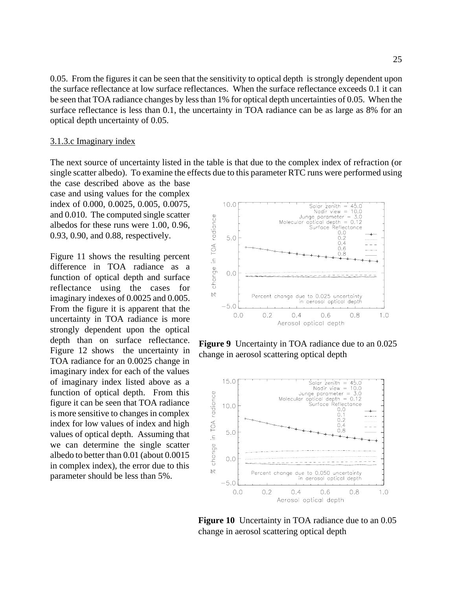0.05. From the figures it can be seen that the sensitivity to optical depth is strongly dependent upon the surface reflectance at low surface reflectances. When the surface reflectance exceeds 0.1 it can be seen that TOA radiance changes by less than 1% for optical depth uncertainties of 0.05. When the surface reflectance is less than 0.1, the uncertainty in TOA radiance can be as large as 8% for an optical depth uncertainty of 0.05.

#### 3.1.3.c Imaginary index

The next source of uncertainty listed in the table is that due to the complex index of refraction (or single scatter albedo). To examine the effects due to this parameter RTC runs were performed using

the case described above as the base case and using values for the complex index of 0.000, 0.0025, 0.005, 0.0075, and 0.010. The computed single scatter albedos for these runs were 1.00, 0.96, 0.93, 0.90, and 0.88, respectively.

Figure 11 shows the resulting percent difference in TOA radiance as a function of optical depth and surface reflectance using the cases for imaginary indexes of 0.0025 and 0.005. From the figure it is apparent that the uncertainty in TOA radiance is more strongly dependent upon the optical depth than on surface reflectance. Figure 12 shows the uncertainty in TOA radiance for an 0.0025 change in imaginary index for each of the values of imaginary index listed above as a function of optical depth. From this figure it can be seen that TOA radiance is more sensitive to changes in complex index for low values of index and high values of optical depth. Assuming that we can determine the single scatter albedo to better than 0.01 (about 0.0015 in complex index), the error due to this parameter should be less than 5%.



**Figure 9** Uncertainty in TOA radiance due to an 0.025 change in aerosol scattering optical depth



**Figure 10** Uncertainty in TOA radiance due to an 0.05 change in aerosol scattering optical depth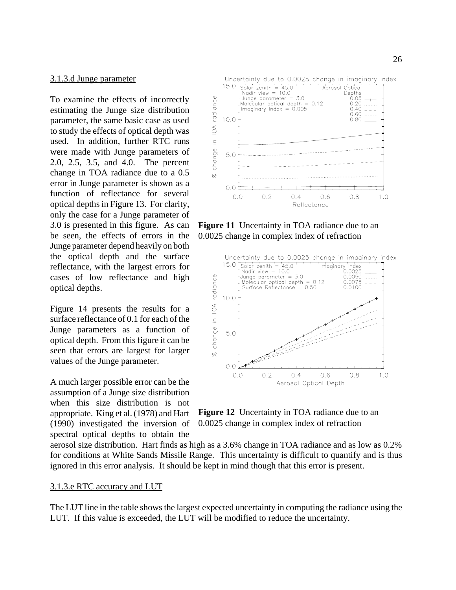#### 3.1.3.d Junge parameter

To examine the effects of incorrectly estimating the Junge size distribution parameter, the same basic case as used to study the effects of optical depth was used. In addition, further RTC runs were made with Junge parameters of 2.0, 2.5, 3.5, and 4.0. The percent change in TOA radiance due to a 0.5 error in Junge parameter is shown as a function of reflectance for several optical depths in Figure 13. For clarity, only the case for a Junge parameter of 3.0 is presented in this figure. As can be seen, the effects of errors in the Junge parameter depend heavily on both the optical depth and the surface reflectance, with the largest errors for cases of low reflectance and high optical depths.

Figure 14 presents the results for a surface reflectance of 0.1 for each of the Junge parameters as a function of optical depth. From this figure it can be seen that errors are largest for larger values of the Junge parameter.

A much larger possible error can be the assumption of a Junge size distribution when this size distribution is not appropriate. King et al. (1978) and Hart (1990) investigated the inversion of spectral optical depths to obtain the

Uncertainty due to 0.0025 change in imaginary index



**Figure 11** Uncertainty in TOA radiance due to an 0.0025 change in complex index of refraction



**Figure 12** Uncertainty in TOA radiance due to an 0.0025 change in complex index of refraction

aerosol size distribution. Hart finds as high as a 3.6% change in TOA radiance and as low as 0.2% for conditions at White Sands Missile Range. This uncertainty is difficult to quantify and is thus ignored in this error analysis. It should be kept in mind though that this error is present.

#### 3.1.3.e RTC accuracy and LUT

The LUT line in the table shows the largest expected uncertainty in computing the radiance using the LUT. If this value is exceeded, the LUT will be modified to reduce the uncertainty.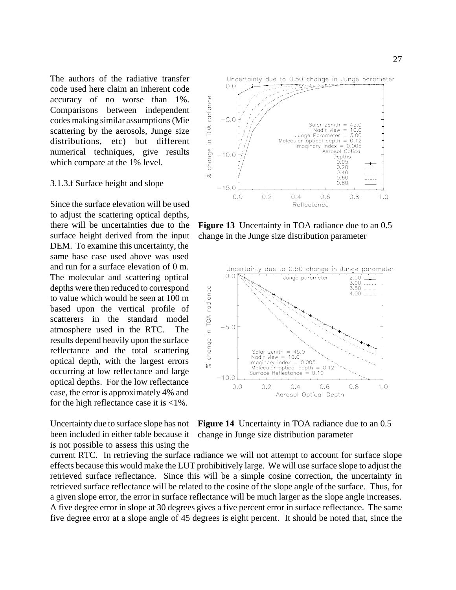The authors of the radiative transfer code used here claim an inherent code accuracy of no worse than 1%. Comparisons between independent codes making similar assumptions (Mie scattering by the aerosols, Junge size distributions, etc) but different numerical techniques, give results which compare at the 1% level.

#### 3.1.3.f Surface height and slope

Since the surface elevation will be used to adjust the scattering optical depths, there will be uncertainties due to the surface height derived from the input DEM. To examine this uncertainty, the same base case used above was used and run for a surface elevation of 0 m. The molecular and scattering optical depths were then reduced to correspond to value which would be seen at 100 m based upon the vertical profile of scatterers in the standard model atmosphere used in the RTC. The results depend heavily upon the surface reflectance and the total scattering optical depth, with the largest errors occurring at low reflectance and large optical depths. For the low reflectance case, the error is approximately 4% and for the high reflectance case it is <1%.

Uncertainty due to surface slope has not been included in either table because it is not possible to assess this using the Uncertainty due to 0.50 change in Junge parameter

![](_page_26_Figure_5.jpeg)

**Figure 13** Uncertainty in TOA radiance due to an 0.5 change in the Junge size distribution parameter

![](_page_26_Figure_7.jpeg)

**Figure 14** Uncertainty in TOA radiance due to an 0.5 change in Junge size distribution parameter

current RTC. In retrieving the surface radiance we will not attempt to account for surface slope effects because this would make the LUT prohibitively large. We will use surface slope to adjust the retrieved surface reflectance. Since this will be a simple cosine correction, the uncertainty in retrieved surface reflectance will be related to the cosine of the slope angle of the surface. Thus, for a given slope error, the error in surface reflectance will be much larger as the slope angle increases. A five degree error in slope at 30 degrees gives a five percent error in surface reflectance. The same five degree error at a slope angle of 45 degrees is eight percent. It should be noted that, since the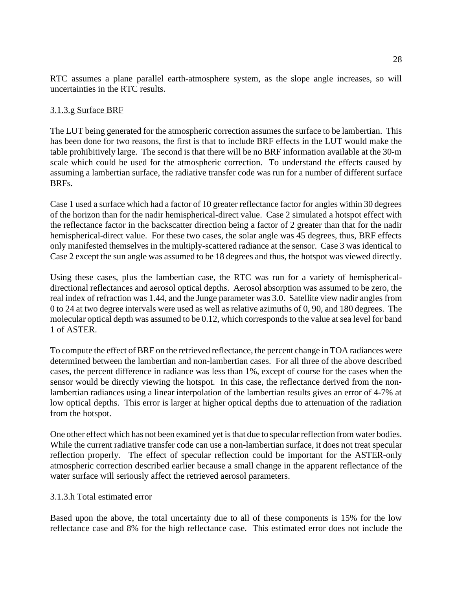RTC assumes a plane parallel earth-atmosphere system, as the slope angle increases, so will uncertainties in the RTC results.

## 3.1.3.g Surface BRF

The LUT being generated for the atmospheric correction assumes the surface to be lambertian. This has been done for two reasons, the first is that to include BRF effects in the LUT would make the table prohibitively large. The second is that there will be no BRF information available at the 30-m scale which could be used for the atmospheric correction. To understand the effects caused by assuming a lambertian surface, the radiative transfer code was run for a number of different surface BRFs.

Case 1 used a surface which had a factor of 10 greater reflectance factor for angles within 30 degrees of the horizon than for the nadir hemispherical-direct value. Case 2 simulated a hotspot effect with the reflectance factor in the backscatter direction being a factor of 2 greater than that for the nadir hemispherical-direct value. For these two cases, the solar angle was 45 degrees, thus, BRF effects only manifested themselves in the multiply-scattered radiance at the sensor. Case 3 was identical to Case 2 except the sun angle was assumed to be 18 degrees and thus, the hotspot was viewed directly.

Using these cases, plus the lambertian case, the RTC was run for a variety of hemisphericaldirectional reflectances and aerosol optical depths. Aerosol absorption was assumed to be zero, the real index of refraction was 1.44, and the Junge parameter was 3.0. Satellite view nadir angles from 0 to 24 at two degree intervals were used as well as relative azimuths of 0, 90, and 180 degrees. The molecular optical depth was assumed to be 0.12, which corresponds to the value at sea level for band 1 of ASTER.

To compute the effect of BRF on the retrieved reflectance, the percent change in TOA radiances were determined between the lambertian and non-lambertian cases. For all three of the above described cases, the percent difference in radiance was less than 1%, except of course for the cases when the sensor would be directly viewing the hotspot. In this case, the reflectance derived from the nonlambertian radiances using a linear interpolation of the lambertian results gives an error of 4-7% at low optical depths. This error is larger at higher optical depths due to attenuation of the radiation from the hotspot.

One other effect which has not been examined yet is that due to specular reflection from water bodies. While the current radiative transfer code can use a non-lambertian surface, it does not treat specular reflection properly. The effect of specular reflection could be important for the ASTER-only atmospheric correction described earlier because a small change in the apparent reflectance of the water surface will seriously affect the retrieved aerosol parameters.

### 3.1.3.h Total estimated error

Based upon the above, the total uncertainty due to all of these components is 15% for the low reflectance case and 8% for the high reflectance case. This estimated error does not include the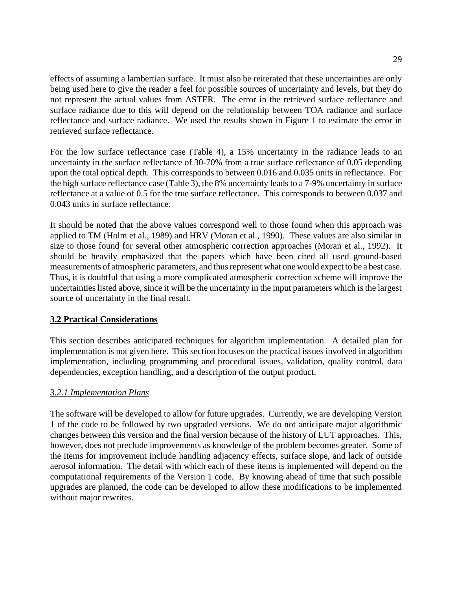effects of assuming a lambertian surface. It must also be reiterated that these uncertainties are only

being used here to give the reader a feel for possible sources of uncertainty and levels, but they do not represent the actual values from ASTER. The error in the retrieved surface reflectance and surface radiance due to this will depend on the relationship between TOA radiance and surface reflectance and surface radiance. We used the results shown in Figure 1 to estimate the error in retrieved surface reflectance.

For the low surface reflectance case (Table 4), a 15% uncertainty in the radiance leads to an uncertainty in the surface reflectance of 30-70% from a true surface reflectance of 0.05 depending upon the total optical depth. This corresponds to between 0.016 and 0.035 units in reflectance. For the high surface reflectance case (Table 3), the 8% uncertainty leads to a 7-9% uncertainty in surface reflectance at a value of 0.5 for the true surface reflectance. This corresponds to between 0.037 and 0.043 units in surface reflectance.

It should be noted that the above values correspond well to those found when this approach was applied to TM (Holm et al., 1989) and HRV (Moran et al., 1990). These values are also similar in size to those found for several other atmospheric correction approaches (Moran et al., 1992). It should be heavily emphasized that the papers which have been cited all used ground-based measurements of atmospheric parameters, and thus represent what one would expect to be a best case. Thus, it is doubtful that using a more complicated atmospheric correction scheme will improve the uncertainties listed above, since it will be the uncertainty in the input parameters which is the largest source of uncertainty in the final result.

## **3.2 Practical Considerations**

This section describes anticipated techniques for algorithm implementation. A detailed plan for implementation is not given here. This section focuses on the practical issues involved in algorithm implementation, including programming and procedural issues, validation, quality control, data dependencies, exception handling, and a description of the output product.

## *3.2.1 Implementation Plans*

The software will be developed to allow for future upgrades. Currently, we are developing Version 1 of the code to be followed by two upgraded versions. We do not anticipate major algorithmic changes between this version and the final version because of the history of LUT approaches. This, however, does not preclude improvements as knowledge of the problem becomes greater. Some of the items for improvement include handling adjacency effects, surface slope, and lack of outside aerosol information. The detail with which each of these items is implemented will depend on the computational requirements of the Version 1 code. By knowing ahead of time that such possible upgrades are planned, the code can be developed to allow these modifications to be implemented without major rewrites.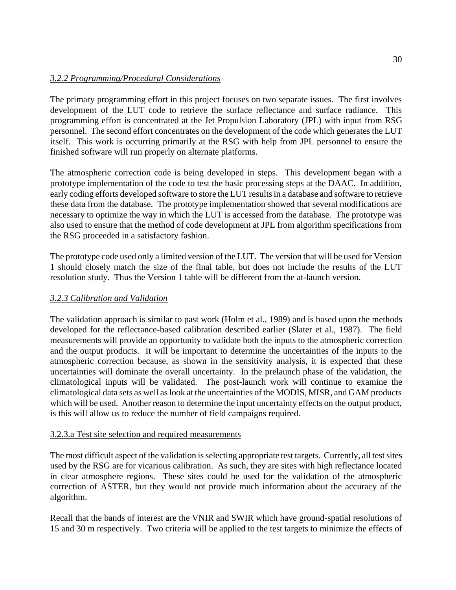## *3.2.2 Programming/Procedural Considerations*

The primary programming effort in this project focuses on two separate issues. The first involves development of the LUT code to retrieve the surface reflectance and surface radiance. This programming effort is concentrated at the Jet Propulsion Laboratory (JPL) with input from RSG personnel. The second effort concentrates on the development of the code which generates the LUT itself. This work is occurring primarily at the RSG with help from JPL personnel to ensure the finished software will run properly on alternate platforms.

The atmospheric correction code is being developed in steps. This development began with a prototype implementation of the code to test the basic processing steps at the DAAC. In addition, early coding efforts developed software to store the LUT results in a database and software to retrieve these data from the database. The prototype implementation showed that several modifications are necessary to optimize the way in which the LUT is accessed from the database. The prototype was also used to ensure that the method of code development at JPL from algorithm specifications from the RSG proceeded in a satisfactory fashion.

The prototype code used only a limited version of the LUT. The version that will be used for Version 1 should closely match the size of the final table, but does not include the results of the LUT resolution study. Thus the Version 1 table will be different from the at-launch version.

## *3.2.3 Calibration and Validation*

The validation approach is similar to past work (Holm et al., 1989) and is based upon the methods developed for the reflectance-based calibration described earlier (Slater et al., 1987). The field measurements will provide an opportunity to validate both the inputs to the atmospheric correction and the output products. It will be important to determine the uncertainties of the inputs to the atmospheric correction because, as shown in the sensitivity analysis, it is expected that these uncertainties will dominate the overall uncertainty. In the prelaunch phase of the validation, the climatological inputs will be validated. The post-launch work will continue to examine the climatological data sets as well as look at the uncertainties of the MODIS, MISR, and GAM products which will be used. Another reason to determine the input uncertainty effects on the output product, is this will allow us to reduce the number of field campaigns required.

### 3.2.3.a Test site selection and required measurements

The most difficult aspect of the validation is selecting appropriate test targets. Currently, all test sites used by the RSG are for vicarious calibration. As such, they are sites with high reflectance located in clear atmosphere regions. These sites could be used for the validation of the atmospheric correction of ASTER, but they would not provide much information about the accuracy of the algorithm.

Recall that the bands of interest are the VNIR and SWIR which have ground-spatial resolutions of 15 and 30 m respectively. Two criteria will be applied to the test targets to minimize the effects of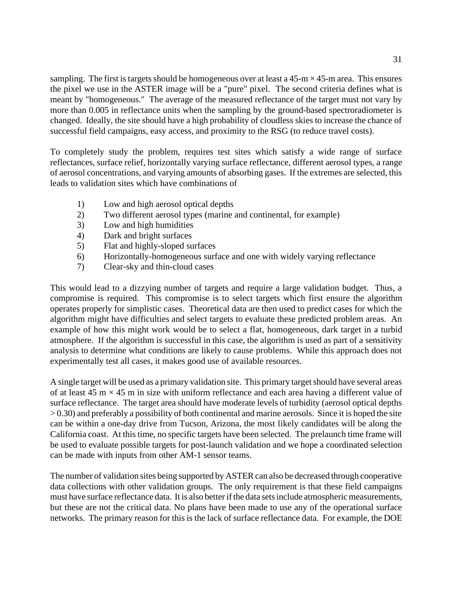sampling. The first is targets should be homogeneous over at least a  $45-m \times 45-m$  area. This ensures the pixel we use in the ASTER image will be a "pure" pixel. The second criteria defines what is meant by "homogeneous." The average of the measured reflectance of the target must not vary by more than 0.005 in reflectance units when the sampling by the ground-based spectroradiometer is changed. Ideally, the site should have a high probability of cloudless skies to increase the chance of successful field campaigns, easy access, and proximity to the RSG (to reduce travel costs).

To completely study the problem, requires test sites which satisfy a wide range of surface reflectances, surface relief, horizontally varying surface reflectance, different aerosol types, a range of aerosol concentrations, and varying amounts of absorbing gases. If the extremes are selected, this leads to validation sites which have combinations of

- 1) Low and high aerosol optical depths
- 2) Two different aerosol types (marine and continental, for example)
- 3) Low and high humidities
- 4) Dark and bright surfaces
- 5) Flat and highly-sloped surfaces
- 6) Horizontally-homogeneous surface and one with widely varying reflectance
- 7) Clear-sky and thin-cloud cases

This would lead to a dizzying number of targets and require a large validation budget. Thus, a compromise is required. This compromise is to select targets which first ensure the algorithm operates properly for simplistic cases. Theoretical data are then used to predict cases for which the algorithm might have difficulties and select targets to evaluate these predicted problem areas. An example of how this might work would be to select a flat, homogeneous, dark target in a turbid atmosphere. If the algorithm is successful in this case, the algorithm is used as part of a sensitivity analysis to determine what conditions are likely to cause problems. While this approach does not experimentally test all cases, it makes good use of available resources.

A single target will be used as a primary validation site. This primary target should have several areas of at least 45 m  $\times$  45 m in size with uniform reflectance and each area having a different value of surface reflectance. The target area should have moderate levels of turbidity (aerosol optical depths  $> 0.30$ ) and preferably a possibility of both continental and marine aerosols. Since it is hoped the site can be within a one-day drive from Tucson, Arizona, the most likely candidates will be along the California coast. At this time, no specific targets have been selected. The prelaunch time frame will be used to evaluate possible targets for post-launch validation and we hope a coordinated selection can be made with inputs from other AM-1 sensor teams.

The number of validation sites being supported by ASTER can also be decreased through cooperative data collections with other validation groups. The only requirement is that these field campaigns must have surface reflectance data. It is also better if the data sets include atmospheric measurements, but these are not the critical data. No plans have been made to use any of the operational surface networks. The primary reason for this is the lack of surface reflectance data. For example, the DOE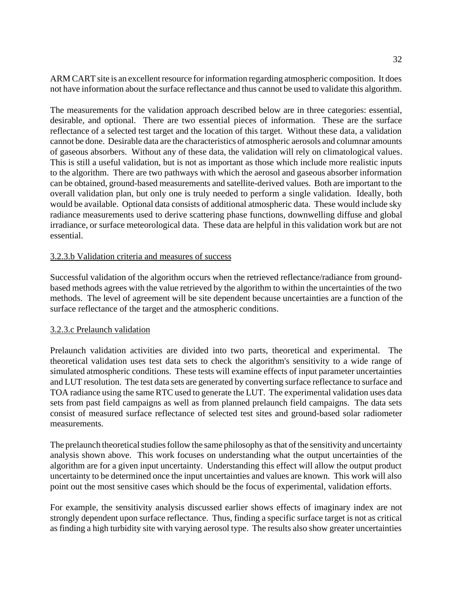ARM CART site is an excellent resource for information regarding atmospheric composition. It does not have information about the surface reflectance and thus cannot be used to validate this algorithm.

The measurements for the validation approach described below are in three categories: essential, desirable, and optional. There are two essential pieces of information. These are the surface reflectance of a selected test target and the location of this target. Without these data, a validation cannot be done. Desirable data are the characteristics of atmospheric aerosols and columnar amounts of gaseous absorbers. Without any of these data, the validation will rely on climatological values. This is still a useful validation, but is not as important as those which include more realistic inputs to the algorithm. There are two pathways with which the aerosol and gaseous absorber information can be obtained, ground-based measurements and satellite-derived values. Both are important to the overall validation plan, but only one is truly needed to perform a single validation. Ideally, both would be available. Optional data consists of additional atmospheric data. These would include sky radiance measurements used to derive scattering phase functions, downwelling diffuse and global irradiance, or surface meteorological data. These data are helpful in this validation work but are not essential.

## 3.2.3.b Validation criteria and measures of success

Successful validation of the algorithm occurs when the retrieved reflectance/radiance from groundbased methods agrees with the value retrieved by the algorithm to within the uncertainties of the two methods. The level of agreement will be site dependent because uncertainties are a function of the surface reflectance of the target and the atmospheric conditions.

### 3.2.3.c Prelaunch validation

Prelaunch validation activities are divided into two parts, theoretical and experimental. The theoretical validation uses test data sets to check the algorithm's sensitivity to a wide range of simulated atmospheric conditions. These tests will examine effects of input parameter uncertainties and LUT resolution. The test data sets are generated by converting surface reflectance to surface and TOA radiance using the same RTC used to generate the LUT. The experimental validation uses data sets from past field campaigns as well as from planned prelaunch field campaigns. The data sets consist of measured surface reflectance of selected test sites and ground-based solar radiometer measurements.

The prelaunch theoretical studies follow the same philosophy as that of the sensitivity and uncertainty analysis shown above. This work focuses on understanding what the output uncertainties of the algorithm are for a given input uncertainty. Understanding this effect will allow the output product uncertainty to be determined once the input uncertainties and values are known. This work will also point out the most sensitive cases which should be the focus of experimental, validation efforts.

For example, the sensitivity analysis discussed earlier shows effects of imaginary index are not strongly dependent upon surface reflectance. Thus, finding a specific surface target is not as critical as finding a high turbidity site with varying aerosol type. The results also show greater uncertainties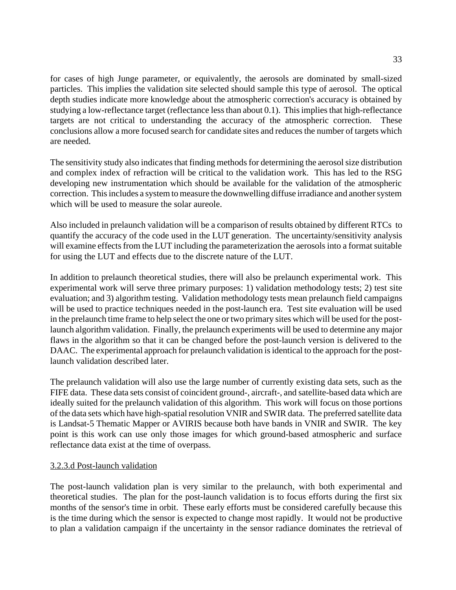for cases of high Junge parameter, or equivalently, the aerosols are dominated by small-sized particles. This implies the validation site selected should sample this type of aerosol. The optical depth studies indicate more knowledge about the atmospheric correction's accuracy is obtained by studying a low-reflectance target (reflectance less than about 0.1). This implies that high-reflectance targets are not critical to understanding the accuracy of the atmospheric correction. These conclusions allow a more focused search for candidate sites and reduces the number of targets which are needed.

The sensitivity study also indicates that finding methods for determining the aerosol size distribution and complex index of refraction will be critical to the validation work. This has led to the RSG developing new instrumentation which should be available for the validation of the atmospheric correction. This includes a system to measure the downwelling diffuse irradiance and another system which will be used to measure the solar aureole.

Also included in prelaunch validation will be a comparison of results obtained by different RTCs to quantify the accuracy of the code used in the LUT generation. The uncertainty/sensitivity analysis will examine effects from the LUT including the parameterization the aerosols into a format suitable for using the LUT and effects due to the discrete nature of the LUT.

In addition to prelaunch theoretical studies, there will also be prelaunch experimental work. This experimental work will serve three primary purposes: 1) validation methodology tests; 2) test site evaluation; and 3) algorithm testing. Validation methodology tests mean prelaunch field campaigns will be used to practice techniques needed in the post-launch era. Test site evaluation will be used in the prelaunch time frame to help select the one or two primary sites which will be used for the postlaunch algorithm validation. Finally, the prelaunch experiments will be used to determine any major flaws in the algorithm so that it can be changed before the post-launch version is delivered to the DAAC. The experimental approach for prelaunch validation is identical to the approach for the postlaunch validation described later.

The prelaunch validation will also use the large number of currently existing data sets, such as the FIFE data. These data sets consist of coincident ground-, aircraft-, and satellite-based data which are ideally suited for the prelaunch validation of this algorithm. This work will focus on those portions of the data sets which have high-spatial resolution VNIR and SWIR data. The preferred satellite data is Landsat-5 Thematic Mapper or AVIRIS because both have bands in VNIR and SWIR. The key point is this work can use only those images for which ground-based atmospheric and surface reflectance data exist at the time of overpass.

#### 3.2.3.d Post-launch validation

The post-launch validation plan is very similar to the prelaunch, with both experimental and theoretical studies. The plan for the post-launch validation is to focus efforts during the first six months of the sensor's time in orbit. These early efforts must be considered carefully because this is the time during which the sensor is expected to change most rapidly. It would not be productive to plan a validation campaign if the uncertainty in the sensor radiance dominates the retrieval of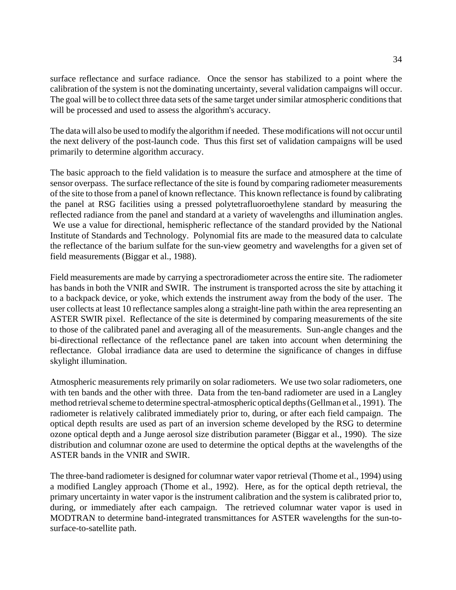surface reflectance and surface radiance. Once the sensor has stabilized to a point where the calibration of the system is not the dominating uncertainty, several validation campaigns will occur. The goal will be to collect three data sets of the same target under similar atmospheric conditions that will be processed and used to assess the algorithm's accuracy.

The data will also be used to modify the algorithm if needed. These modifications will not occur until the next delivery of the post-launch code. Thus this first set of validation campaigns will be used primarily to determine algorithm accuracy.

The basic approach to the field validation is to measure the surface and atmosphere at the time of sensor overpass. The surface reflectance of the site is found by comparing radiometer measurements of the site to those from a panel of known reflectance. This known reflectance is found by calibrating the panel at RSG facilities using a pressed polytetrafluoroethylene standard by measuring the reflected radiance from the panel and standard at a variety of wavelengths and illumination angles. We use a value for directional, hemispheric reflectance of the standard provided by the National Institute of Standards and Technology. Polynomial fits are made to the measured data to calculate the reflectance of the barium sulfate for the sun-view geometry and wavelengths for a given set of field measurements (Biggar et al., 1988).

Field measurements are made by carrying a spectroradiometer across the entire site. The radiometer has bands in both the VNIR and SWIR. The instrument is transported across the site by attaching it to a backpack device, or yoke, which extends the instrument away from the body of the user. The user collects at least 10 reflectance samples along a straight-line path within the area representing an ASTER SWIR pixel. Reflectance of the site is determined by comparing measurements of the site to those of the calibrated panel and averaging all of the measurements. Sun-angle changes and the bi-directional reflectance of the reflectance panel are taken into account when determining the reflectance. Global irradiance data are used to determine the significance of changes in diffuse skylight illumination.

Atmospheric measurements rely primarily on solar radiometers. We use two solar radiometers, one with ten bands and the other with three. Data from the ten-band radiometer are used in a Langley method retrieval scheme to determine spectral-atmospheric optical depths (Gellman et al., 1991). The radiometer is relatively calibrated immediately prior to, during, or after each field campaign. The optical depth results are used as part of an inversion scheme developed by the RSG to determine ozone optical depth and a Junge aerosol size distribution parameter (Biggar et al., 1990). The size distribution and columnar ozone are used to determine the optical depths at the wavelengths of the ASTER bands in the VNIR and SWIR.

The three-band radiometer is designed for columnar water vapor retrieval (Thome et al., 1994) using a modified Langley approach (Thome et al., 1992). Here, as for the optical depth retrieval, the primary uncertainty in water vapor is the instrument calibration and the system is calibrated prior to, during, or immediately after each campaign. The retrieved columnar water vapor is used in MODTRAN to determine band-integrated transmittances for ASTER wavelengths for the sun-tosurface-to-satellite path.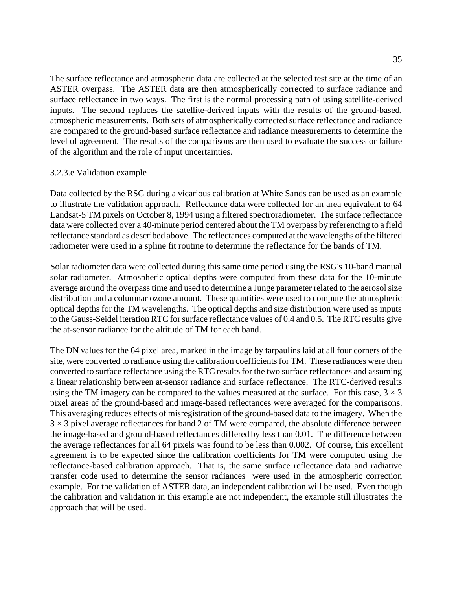The surface reflectance and atmospheric data are collected at the selected test site at the time of an ASTER overpass. The ASTER data are then atmospherically corrected to surface radiance and surface reflectance in two ways. The first is the normal processing path of using satellite-derived inputs. The second replaces the satellite-derived inputs with the results of the ground-based, atmospheric measurements. Both sets of atmospherically corrected surface reflectance and radiance are compared to the ground-based surface reflectance and radiance measurements to determine the level of agreement. The results of the comparisons are then used to evaluate the success or failure of the algorithm and the role of input uncertainties.

#### 3.2.3.e Validation example

Data collected by the RSG during a vicarious calibration at White Sands can be used as an example to illustrate the validation approach. Reflectance data were collected for an area equivalent to 64 Landsat-5 TM pixels on October 8, 1994 using a filtered spectroradiometer. The surface reflectance data were collected over a 40-minute period centered about the TM overpass by referencing to a field reflectance standard as described above. The reflectances computed at the wavelengths of the filtered radiometer were used in a spline fit routine to determine the reflectance for the bands of TM.

Solar radiometer data were collected during this same time period using the RSG's 10-band manual solar radiometer. Atmospheric optical depths were computed from these data for the 10-minute average around the overpass time and used to determine a Junge parameter related to the aerosol size distribution and a columnar ozone amount. These quantities were used to compute the atmospheric optical depths for the TM wavelengths. The optical depths and size distribution were used as inputs to the Gauss-Seidel iteration RTC for surface reflectance values of 0.4 and 0.5. The RTC results give the at-sensor radiance for the altitude of TM for each band.

The DN values for the 64 pixel area, marked in the image by tarpaulins laid at all four corners of the site, were converted to radiance using the calibration coefficients for TM. These radiances were then converted to surface reflectance using the RTC results for the two surface reflectances and assuming a linear relationship between at-sensor radiance and surface reflectance. The RTC-derived results using the TM imagery can be compared to the values measured at the surface. For this case,  $3 \times 3$ pixel areas of the ground-based and image-based reflectances were averaged for the comparisons. This averaging reduces effects of misregistration of the ground-based data to the imagery. When the  $3 \times 3$  pixel average reflectances for band 2 of TM were compared, the absolute difference between the image-based and ground-based reflectances differed by less than 0.01. The difference between the average reflectances for all 64 pixels was found to be less than 0.002. Of course, this excellent agreement is to be expected since the calibration coefficients for TM were computed using the reflectance-based calibration approach. That is, the same surface reflectance data and radiative transfer code used to determine the sensor radiances were used in the atmospheric correction example. For the validation of ASTER data, an independent calibration will be used. Even though the calibration and validation in this example are not independent, the example still illustrates the approach that will be used.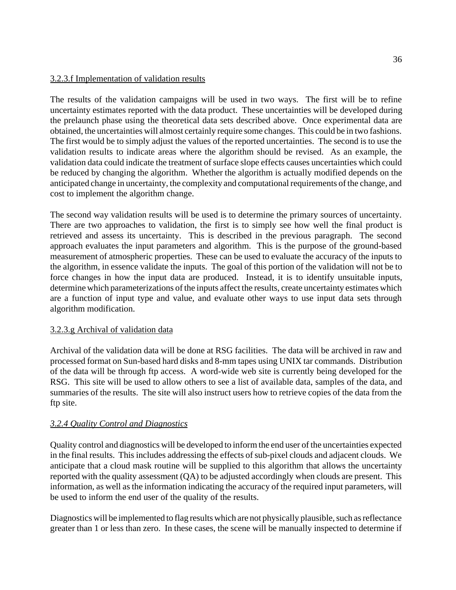## 3.2.3.f Implementation of validation results

The results of the validation campaigns will be used in two ways. The first will be to refine uncertainty estimates reported with the data product. These uncertainties will be developed during the prelaunch phase using the theoretical data sets described above. Once experimental data are obtained, the uncertainties will almost certainly require some changes. This could be in two fashions. The first would be to simply adjust the values of the reported uncertainties. The second is to use the validation results to indicate areas where the algorithm should be revised. As an example, the validation data could indicate the treatment of surface slope effects causes uncertainties which could be reduced by changing the algorithm. Whether the algorithm is actually modified depends on the anticipated change in uncertainty, the complexity and computational requirements of the change, and cost to implement the algorithm change.

The second way validation results will be used is to determine the primary sources of uncertainty. There are two approaches to validation, the first is to simply see how well the final product is retrieved and assess its uncertainty. This is described in the previous paragraph. The second approach evaluates the input parameters and algorithm. This is the purpose of the ground-based measurement of atmospheric properties. These can be used to evaluate the accuracy of the inputs to the algorithm, in essence validate the inputs. The goal of this portion of the validation will not be to force changes in how the input data are produced. Instead, it is to identify unsuitable inputs, determine which parameterizations of the inputs affect the results, create uncertainty estimates which are a function of input type and value, and evaluate other ways to use input data sets through algorithm modification.

## 3.2.3.g Archival of validation data

Archival of the validation data will be done at RSG facilities. The data will be archived in raw and processed format on Sun-based hard disks and 8-mm tapes using UNIX tar commands. Distribution of the data will be through ftp access. A word-wide web site is currently being developed for the RSG. This site will be used to allow others to see a list of available data, samples of the data, and summaries of the results. The site will also instruct users how to retrieve copies of the data from the ftp site.

## *3.2.4 Quality Control and Diagnostics*

Quality control and diagnostics will be developed to inform the end user of the uncertainties expected in the final results. This includes addressing the effects of sub-pixel clouds and adjacent clouds. We anticipate that a cloud mask routine will be supplied to this algorithm that allows the uncertainty reported with the quality assessment (QA) to be adjusted accordingly when clouds are present. This information, as well as the information indicating the accuracy of the required input parameters, will be used to inform the end user of the quality of the results.

Diagnostics will be implemented to flag results which are not physically plausible, such as reflectance greater than 1 or less than zero. In these cases, the scene will be manually inspected to determine if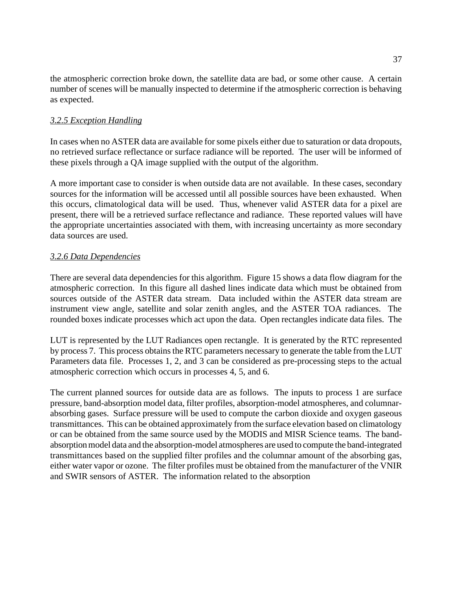the atmospheric correction broke down, the satellite data are bad, or some other cause. A certain number of scenes will be manually inspected to determine if the atmospheric correction is behaving as expected.

## *3.2.5 Exception Handling*

In cases when no ASTER data are available for some pixels either due to saturation or data dropouts, no retrieved surface reflectance or surface radiance will be reported. The user will be informed of these pixels through a QA image supplied with the output of the algorithm.

A more important case to consider is when outside data are not available. In these cases, secondary sources for the information will be accessed until all possible sources have been exhausted. When this occurs, climatological data will be used. Thus, whenever valid ASTER data for a pixel are present, there will be a retrieved surface reflectance and radiance. These reported values will have the appropriate uncertainties associated with them, with increasing uncertainty as more secondary data sources are used.

### *3.2.6 Data Dependencies*

There are several data dependencies for this algorithm. Figure 15 shows a data flow diagram for the atmospheric correction. In this figure all dashed lines indicate data which must be obtained from sources outside of the ASTER data stream. Data included within the ASTER data stream are instrument view angle, satellite and solar zenith angles, and the ASTER TOA radiances. The rounded boxes indicate processes which act upon the data. Open rectangles indicate data files. The

LUT is represented by the LUT Radiances open rectangle. It is generated by the RTC represented by process 7. This process obtains the RTC parameters necessary to generate the table from the LUT Parameters data file. Processes 1, 2, and 3 can be considered as pre-processing steps to the actual atmospheric correction which occurs in processes 4, 5, and 6.

The current planned sources for outside data are as follows. The inputs to process 1 are surface pressure, band-absorption model data, filter profiles, absorption-model atmospheres, and columnarabsorbing gases. Surface pressure will be used to compute the carbon dioxide and oxygen gaseous transmittances. This can be obtained approximately from the surface elevation based on climatology or can be obtained from the same source used by the MODIS and MISR Science teams. The bandabsorption model data and the absorption-model atmospheres are used to compute the band-integrated transmittances based on the supplied filter profiles and the columnar amount of the absorbing gas, either water vapor or ozone. The filter profiles must be obtained from the manufacturer of the VNIR and SWIR sensors of ASTER. The information related to the absorption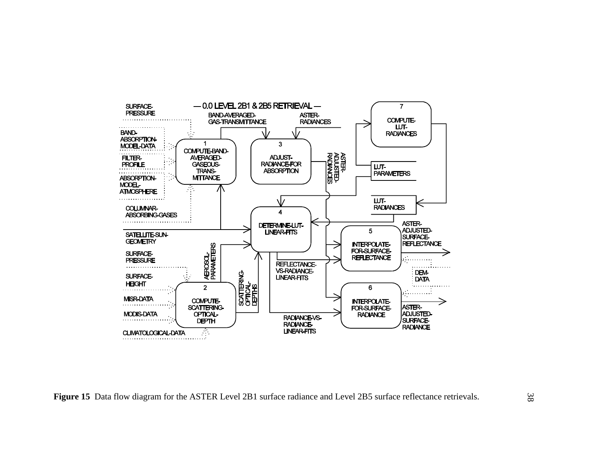![](_page_37_Figure_0.jpeg)

**Figure 15** Data flow diagram for the ASTER Level 2B1 surface radiance and Level 2B5 surface reflectance retrievals.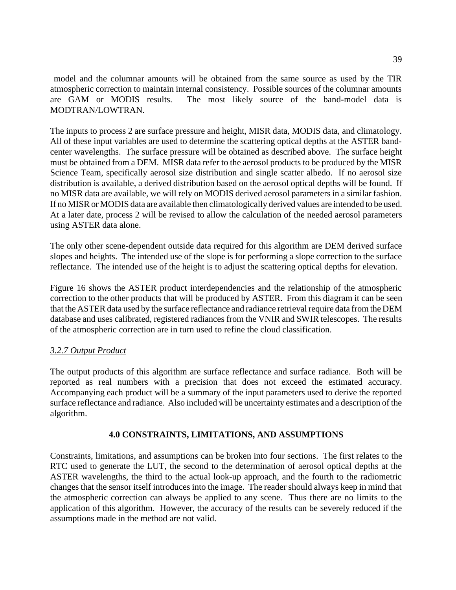model and the columnar amounts will be obtained from the same source as used by the TIR atmospheric correction to maintain internal consistency. Possible sources of the columnar amounts are GAM or MODIS results. The most likely source of the band-model data is MODTRAN/LOWTRAN.

The inputs to process 2 are surface pressure and height, MISR data, MODIS data, and climatology. All of these input variables are used to determine the scattering optical depths at the ASTER bandcenter wavelengths. The surface pressure will be obtained as described above. The surface height must be obtained from a DEM. MISR data refer to the aerosol products to be produced by the MISR Science Team, specifically aerosol size distribution and single scatter albedo. If no aerosol size distribution is available, a derived distribution based on the aerosol optical depths will be found. If no MISR data are available, we will rely on MODIS derived aerosol parameters in a similar fashion. If no MISR or MODIS data are available then climatologically derived values are intended to be used. At a later date, process 2 will be revised to allow the calculation of the needed aerosol parameters using ASTER data alone.

The only other scene-dependent outside data required for this algorithm are DEM derived surface slopes and heights. The intended use of the slope is for performing a slope correction to the surface reflectance. The intended use of the height is to adjust the scattering optical depths for elevation.

Figure 16 shows the ASTER product interdependencies and the relationship of the atmospheric correction to the other products that will be produced by ASTER. From this diagram it can be seen that the ASTER data used by the surface reflectance and radiance retrieval require data from the DEM database and uses calibrated, registered radiances from the VNIR and SWIR telescopes. The results of the atmospheric correction are in turn used to refine the cloud classification.

## *3.2.7 Output Product*

The output products of this algorithm are surface reflectance and surface radiance. Both will be reported as real numbers with a precision that does not exceed the estimated accuracy. Accompanying each product will be a summary of the input parameters used to derive the reported surface reflectance and radiance. Also included will be uncertainty estimates and a description of the algorithm.

### **4.0 CONSTRAINTS, LIMITATIONS, AND ASSUMPTIONS**

Constraints, limitations, and assumptions can be broken into four sections. The first relates to the RTC used to generate the LUT, the second to the determination of aerosol optical depths at the ASTER wavelengths, the third to the actual look-up approach, and the fourth to the radiometric changes that the sensor itself introduces into the image. The reader should always keep in mind that the atmospheric correction can always be applied to any scene. Thus there are no limits to the application of this algorithm. However, the accuracy of the results can be severely reduced if the assumptions made in the method are not valid.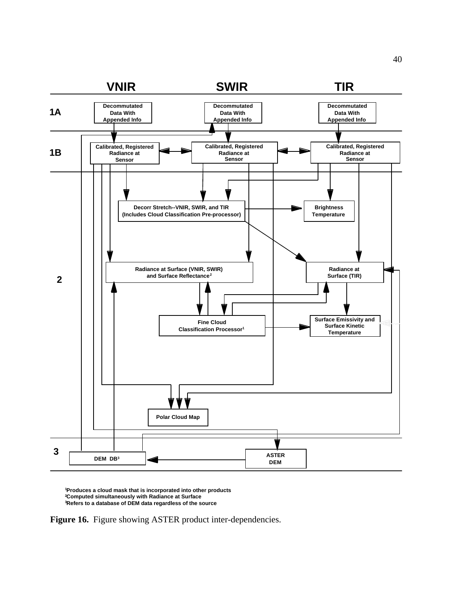![](_page_39_Figure_0.jpeg)

**1 Produces a cloud mask that is incorporated into other products 2Computed simultaneously with Radiance at Surface 3 Refers to a database of DEM data regardless of the source**

**Figure 16.** Figure showing ASTER product inter-dependencies.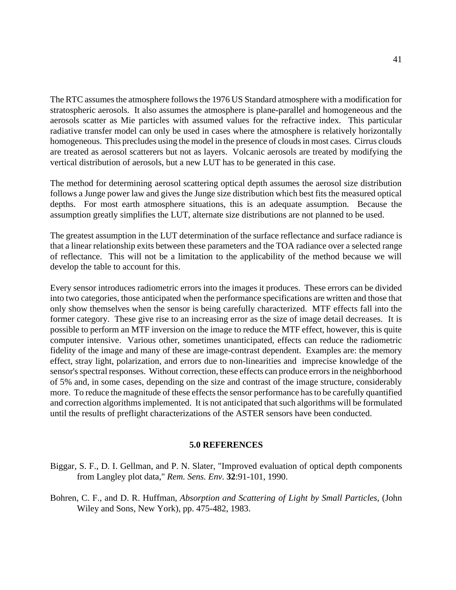The RTC assumes the atmosphere follows the 1976 US Standard atmosphere with a modification for stratospheric aerosols. It also assumes the atmosphere is plane-parallel and homogeneous and the aerosols scatter as Mie particles with assumed values for the refractive index. This particular radiative transfer model can only be used in cases where the atmosphere is relatively horizontally homogeneous. This precludes using the model in the presence of clouds in most cases. Cirrus clouds are treated as aerosol scatterers but not as layers. Volcanic aerosols are treated by modifying the vertical distribution of aerosols, but a new LUT has to be generated in this case.

The method for determining aerosol scattering optical depth assumes the aerosol size distribution follows a Junge power law and gives the Junge size distribution which best fits the measured optical depths. For most earth atmosphere situations, this is an adequate assumption. Because the assumption greatly simplifies the LUT, alternate size distributions are not planned to be used.

The greatest assumption in the LUT determination of the surface reflectance and surface radiance is that a linear relationship exits between these parameters and the TOA radiance over a selected range of reflectance. This will not be a limitation to the applicability of the method because we will develop the table to account for this.

Every sensor introduces radiometric errors into the images it produces. These errors can be divided into two categories, those anticipated when the performance specifications are written and those that only show themselves when the sensor is being carefully characterized. MTF effects fall into the former category. These give rise to an increasing error as the size of image detail decreases. It is possible to perform an MTF inversion on the image to reduce the MTF effect, however, this is quite computer intensive. Various other, sometimes unanticipated, effects can reduce the radiometric fidelity of the image and many of these are image-contrast dependent. Examples are: the memory effect, stray light, polarization, and errors due to non-linearities and imprecise knowledge of the sensor's spectral responses. Without correction, these effects can produce errors in the neighborhood of 5% and, in some cases, depending on the size and contrast of the image structure, considerably more. To reduce the magnitude of these effects the sensor performance has to be carefully quantified and correction algorithms implemented. It is not anticipated that such algorithms will be formulated until the results of preflight characterizations of the ASTER sensors have been conducted.

#### **5.0 REFERENCES**

- Biggar, S. F., D. I. Gellman, and P. N. Slater, "Improved evaluation of optical depth components from Langley plot data," *Rem. Sens. Env.* **32**:91-101, 1990.
- Bohren, C. F., and D. R. Huffman, *Absorption and Scattering of Light by Small Particles*, (John Wiley and Sons, New York), pp. 475-482, 1983.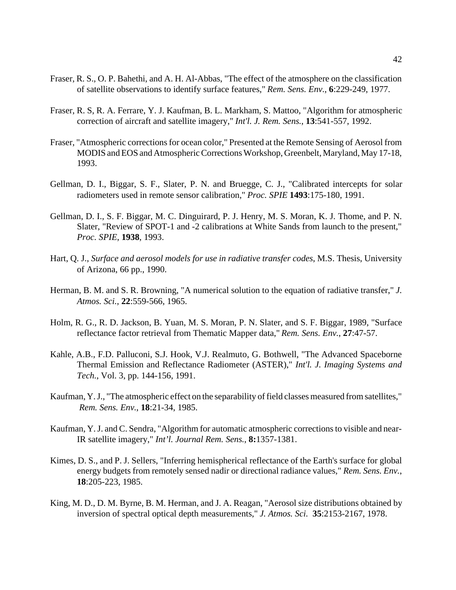- Fraser, R. S., O. P. Bahethi, and A. H. Al-Abbas, "The effect of the atmosphere on the classification of satellite observations to identify surface features," *Rem. Sens. Env.*, **6**:229-249, 1977.
- Fraser, R. S, R. A. Ferrare, Y. J. Kaufman, B. L. Markham, S. Mattoo, "Algorithm for atmospheric correction of aircraft and satellite imagery," *Int'l. J. Rem. Sens.*, **13**:541-557, 1992.
- Fraser, "Atmospheric corrections for ocean color," Presented at the Remote Sensing of Aerosol from MODIS and EOS and Atmospheric Corrections Workshop, Greenbelt, Maryland, May 17-18, 1993.
- Gellman, D. I., Biggar, S. F., Slater, P. N. and Bruegge, C. J., "Calibrated intercepts for solar radiometers used in remote sensor calibration," *Proc. SPIE* **1493**:175-180, 1991.
- Gellman, D. I., S. F. Biggar, M. C. Dinguirard, P. J. Henry, M. S. Moran, K. J. Thome, and P. N. Slater, "Review of SPOT-1 and -2 calibrations at White Sands from launch to the present," *Proc. SPIE*, **1938**, 1993.
- Hart, Q. J., *Surface and aerosol models for use in radiative transfer codes*, M.S. Thesis, University of Arizona, 66 pp., 1990.
- Herman, B. M. and S. R. Browning, "A numerical solution to the equation of radiative transfer," *J. Atmos. Sci.*, **22**:559-566, 1965.
- Holm, R. G., R. D. Jackson, B. Yuan, M. S. Moran, P. N. Slater, and S. F. Biggar, 1989, "Surface reflectance factor retrieval from Thematic Mapper data," *Rem. Sens. Env.*, **27**:47-57.
- Kahle, A.B., F.D. Palluconi, S.J. Hook, V.J. Realmuto, G. Bothwell, "The Advanced Spaceborne Thermal Emission and Reflectance Radiometer (ASTER)," *Int'l. J. Imaging Systems and Tech.*, Vol. 3, pp. 144-156, 1991.
- Kaufman, Y. J., "The atmospheric effect on the separability of field classes measured from satellites,"  *Rem. Sens. Env.*, **18**:21-34, 1985.
- Kaufman, Y. J. and C. Sendra, "Algorithm for automatic atmospheric corrections to visible and near-IR satellite imagery," *Int'l. Journal Rem. Sens.*, **8:**1357-1381.
- Kimes, D. S., and P. J. Sellers, "Inferring hemispherical reflectance of the Earth's surface for global energy budgets from remotely sensed nadir or directional radiance values," *Rem. Sens. Env.*, **18**:205-223, 1985.
- King, M. D., D. M. Byrne, B. M. Herman, and J. A. Reagan, "Aerosol size distributions obtained by inversion of spectral optical depth measurements," *J. Atmos. Sci.* **35**:2153-2167, 1978.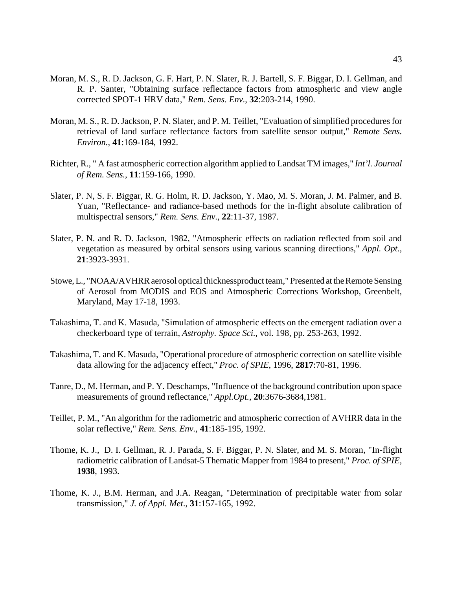- Moran, M. S., R. D. Jackson, G. F. Hart, P. N. Slater, R. J. Bartell, S. F. Biggar, D. I. Gellman, and R. P. Santer, "Obtaining surface reflectance factors from atmospheric and view angle corrected SPOT-1 HRV data," *Rem. Sens. Env.*, **32**:203-214, 1990.
- Moran, M. S., R. D. Jackson, P. N. Slater, and P. M. Teillet, "Evaluation of simplified procedures for retrieval of land surface reflectance factors from satellite sensor output," *Remote Sens. Environ.*, **41**:169-184, 1992.
- Richter, R., " A fast atmospheric correction algorithm applied to Landsat TM images," *Int'l. Journal of Rem. Sens.*, **11**:159-166, 1990.
- Slater, P. N, S. F. Biggar, R. G. Holm, R. D. Jackson, Y. Mao, M. S. Moran, J. M. Palmer, and B. Yuan, "Reflectance- and radiance-based methods for the in-flight absolute calibration of multispectral sensors," *Rem. Sens. Env.*, **22**:11-37, 1987.
- Slater, P. N. and R. D. Jackson, 1982, "Atmospheric effects on radiation reflected from soil and vegetation as measured by orbital sensors using various scanning directions," *Appl. Opt.*, **21**:3923-3931.
- Stowe, L., "NOAA/AVHRR aerosol optical thicknessproduct team," Presented at the Remote Sensing of Aerosol from MODIS and EOS and Atmospheric Corrections Workshop, Greenbelt, Maryland, May 17-18, 1993.
- Takashima, T. and K. Masuda, "Simulation of atmospheric effects on the emergent radiation over a checkerboard type of terrain, *Astrophy. Space Sci.*, vol. 198, pp. 253-263, 1992.
- Takashima, T. and K. Masuda, "Operational procedure of atmospheric correction on satellite visible data allowing for the adjacency effect," *Proc. of SPIE*, 1996, **2817**:70-81, 1996.
- Tanre, D., M. Herman, and P. Y. Deschamps, "Influence of the background contribution upon space measurements of ground reflectance," *Appl.Opt.*, **20**:3676-3684,1981.
- Teillet, P. M., "An algorithm for the radiometric and atmospheric correction of AVHRR data in the solar reflective," *Rem. Sens. Env.*, **41**:185-195, 1992.
- Thome, K. J., D. I. Gellman, R. J. Parada, S. F. Biggar, P. N. Slater, and M. S. Moran, "In-flight radiometric calibration of Landsat-5 Thematic Mapper from 1984 to present," *Proc. of SPIE*, **1938**, 1993.
- Thome, K. J., B.M. Herman, and J.A. Reagan, "Determination of precipitable water from solar transmission," *J. of Appl. Met*., **31**:157-165, 1992.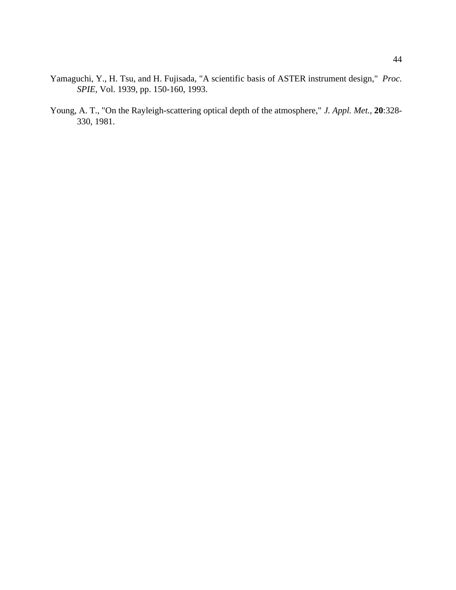- Yamaguchi, Y., H. Tsu, and H. Fujisada, "A scientific basis of ASTER instrument design," *Proc. SPIE*, Vol. 1939, pp. 150-160, 1993.
- Young, A. T., "On the Rayleigh-scattering optical depth of the atmosphere," *J. Appl. Met.*, **20**:328- 330, 1981.